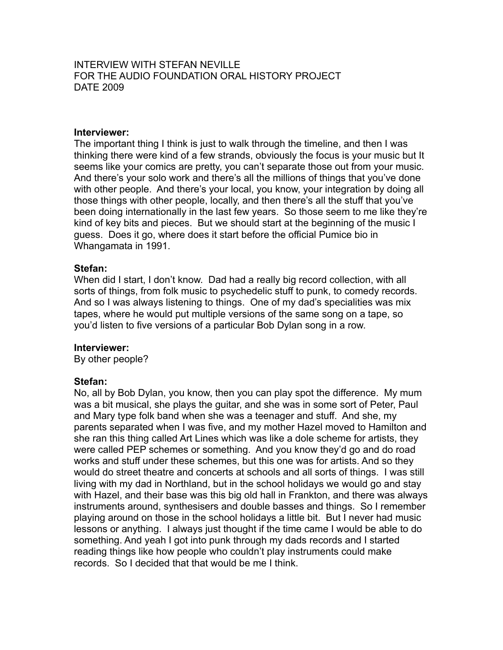## INTERVIEW WITH STEFAN NEVILLE FOR THE AUDIO FOUNDATION ORAL HISTORY PROJECT DATE 2009

#### **Interviewer:**

The important thing I think is just to walk through the timeline, and then I was thinking there were kind of a few strands, obviously the focus is your music but It seems like your comics are pretty, you can't separate those out from your music. And there's your solo work and there's all the millions of things that you've done with other people. And there's your local, you know, your integration by doing all those things with other people, locally, and then there's all the stuff that you've been doing internationally in the last few years. So those seem to me like they're kind of key bits and pieces. But we should start at the beginning of the music I guess. Does it go, where does it start before the official Pumice bio in Whangamata in 1991.

#### **Stefan:**

When did I start, I don't know. Dad had a really big record collection, with all sorts of things, from folk music to psychedelic stuff to punk, to comedy records. And so I was always listening to things. One of my dad's specialities was mix tapes, where he would put multiple versions of the same song on a tape, so you'd listen to five versions of a particular Bob Dylan song in a row.

#### **Interviewer:**

By other people?

#### **Stefan:**

No, all by Bob Dylan, you know, then you can play spot the difference. My mum was a bit musical, she plays the guitar, and she was in some sort of Peter, Paul and Mary type folk band when she was a teenager and stuff. And she, my parents separated when I was five, and my mother Hazel moved to Hamilton and she ran this thing called Art Lines which was like a dole scheme for artists, they were called PEP schemes or something. And you know they'd go and do road works and stuff under these schemes, but this one was for artists. And so they would do street theatre and concerts at schools and all sorts of things. I was still living with my dad in Northland, but in the school holidays we would go and stay with Hazel, and their base was this big old hall in Frankton, and there was always instruments around, synthesisers and double basses and things. So I remember playing around on those in the school holidays a little bit. But I never had music lessons or anything. I always just thought if the time came I would be able to do something. And yeah I got into punk through my dads records and I started reading things like how people who couldn't play instruments could make records. So I decided that that would be me I think.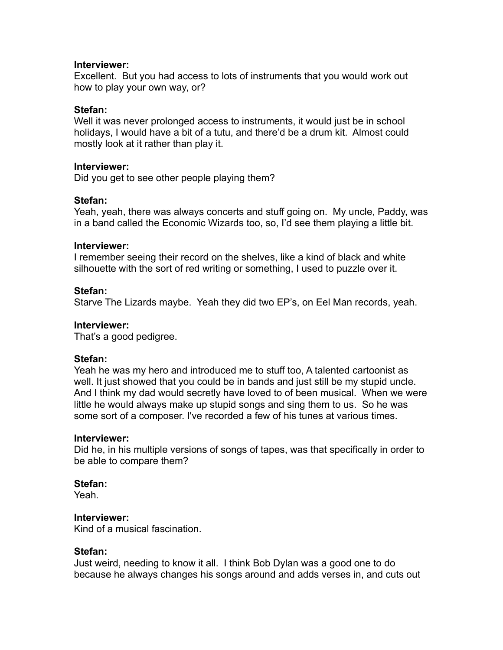### **Interviewer:**

Excellent. But you had access to lots of instruments that you would work out how to play your own way, or?

## **Stefan:**

Well it was never prolonged access to instruments, it would just be in school holidays, I would have a bit of a tutu, and there'd be a drum kit. Almost could mostly look at it rather than play it.

### **Interviewer:**

Did you get to see other people playing them?

## **Stefan:**

Yeah, yeah, there was always concerts and stuff going on. My uncle, Paddy, was in a band called the Economic Wizards too, so, I'd see them playing a little bit.

### **Interviewer:**

I remember seeing their record on the shelves, like a kind of black and white silhouette with the sort of red writing or something, I used to puzzle over it.

## **Stefan:**

Starve The Lizards maybe. Yeah they did two EP's, on Eel Man records, yeah.

### **Interviewer:**

That's a good pedigree.

### **Stefan:**

Yeah he was my hero and introduced me to stuff too, A talented cartoonist as well. It just showed that you could be in bands and just still be my stupid uncle. And I think my dad would secretly have loved to of been musical. When we were little he would always make up stupid songs and sing them to us. So he was some sort of a composer. I've recorded a few of his tunes at various times.

### **Interviewer:**

Did he, in his multiple versions of songs of tapes, was that specifically in order to be able to compare them?

### **Stefan:**

Yeah.

### **Interviewer:**

Kind of a musical fascination.

### **Stefan:**

Just weird, needing to know it all. I think Bob Dylan was a good one to do because he always changes his songs around and adds verses in, and cuts out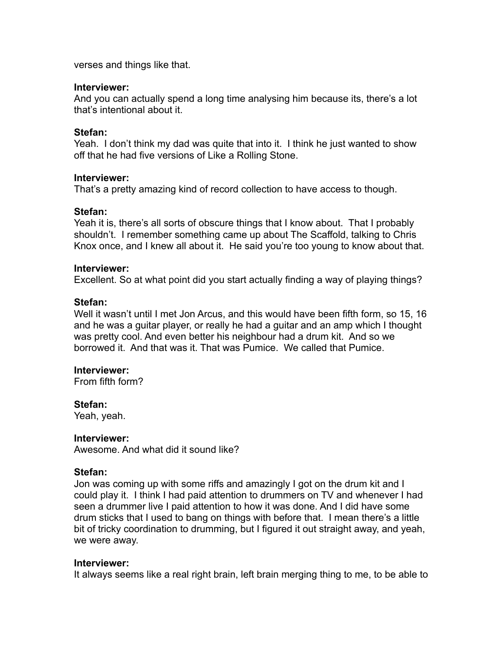verses and things like that.

## **Interviewer:**

And you can actually spend a long time analysing him because its, there's a lot that's intentional about it.

## **Stefan:**

Yeah. I don't think my dad was quite that into it. I think he just wanted to show off that he had five versions of Like a Rolling Stone.

## **Interviewer:**

That's a pretty amazing kind of record collection to have access to though.

## **Stefan:**

Yeah it is, there's all sorts of obscure things that I know about. That I probably shouldn't. I remember something came up about The Scaffold, talking to Chris Knox once, and I knew all about it. He said you're too young to know about that.

### **Interviewer:**

Excellent. So at what point did you start actually finding a way of playing things?

## **Stefan:**

Well it wasn't until I met Jon Arcus, and this would have been fifth form, so 15, 16 and he was a guitar player, or really he had a guitar and an amp which I thought was pretty cool. And even better his neighbour had a drum kit. And so we borrowed it. And that was it. That was Pumice. We called that Pumice.

# **Interviewer:**

From fifth form?

### **Stefan:**

Yeah, yeah.

### **Interviewer:**

Awesome. And what did it sound like?

# **Stefan:**

Jon was coming up with some riffs and amazingly I got on the drum kit and I could play it. I think I had paid attention to drummers on TV and whenever I had seen a drummer live I paid attention to how it was done. And I did have some drum sticks that I used to bang on things with before that. I mean there's a little bit of tricky coordination to drumming, but I figured it out straight away, and yeah, we were away.

### **Interviewer:**

It always seems like a real right brain, left brain merging thing to me, to be able to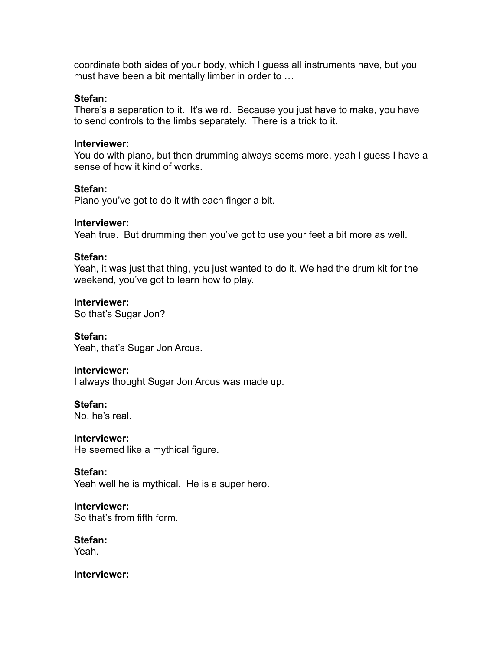coordinate both sides of your body, which I guess all instruments have, but you must have been a bit mentally limber in order to …

## **Stefan:**

There's a separation to it. It's weird. Because you just have to make, you have to send controls to the limbs separately. There is a trick to it.

## **Interviewer:**

You do with piano, but then drumming always seems more, yeah I guess I have a sense of how it kind of works.

## **Stefan:**

Piano you've got to do it with each finger a bit.

## **Interviewer:**

Yeah true. But drumming then you've got to use your feet a bit more as well.

# **Stefan:**

Yeah, it was just that thing, you just wanted to do it. We had the drum kit for the weekend, you've got to learn how to play.

**Interviewer:**  So that's Sugar Jon?

**Stefan:** Yeah, that's Sugar Jon Arcus.

# **Interviewer:**

I always thought Sugar Jon Arcus was made up.

**Stefan:** No, he's real.

**Interviewer:**  He seemed like a mythical figure.

# **Stefan:**

Yeah well he is mythical. He is a super hero.

**Interviewer:**  So that's from fifth form.

**Stefan:** Yeah.

**Interviewer:**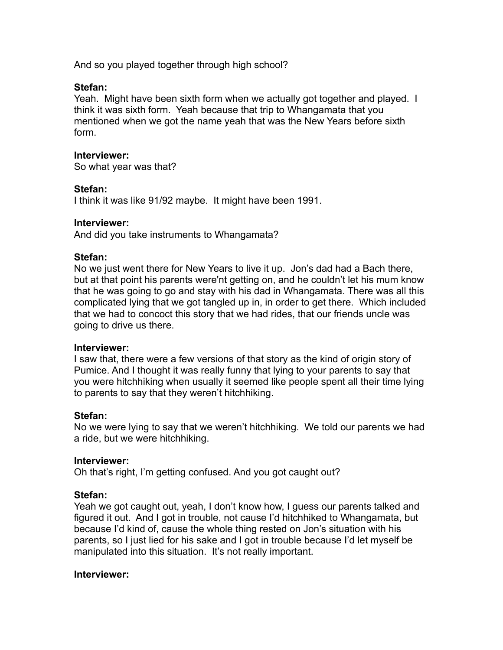And so you played together through high school?

## **Stefan:**

Yeah. Might have been sixth form when we actually got together and played. I think it was sixth form. Yeah because that trip to Whangamata that you mentioned when we got the name yeah that was the New Years before sixth form.

### **Interviewer:**

So what year was that?

## **Stefan:**

I think it was like 91/92 maybe. It might have been 1991.

## **Interviewer:**

And did you take instruments to Whangamata?

## **Stefan:**

No we just went there for New Years to live it up. Jon's dad had a Bach there, but at that point his parents were'nt getting on, and he couldn't let his mum know that he was going to go and stay with his dad in Whangamata. There was all this complicated lying that we got tangled up in, in order to get there. Which included that we had to concoct this story that we had rides, that our friends uncle was going to drive us there.

### **Interviewer:**

I saw that, there were a few versions of that story as the kind of origin story of Pumice. And I thought it was really funny that lying to your parents to say that you were hitchhiking when usually it seemed like people spent all their time lying to parents to say that they weren't hitchhiking.

### **Stefan:**

No we were lying to say that we weren't hitchhiking. We told our parents we had a ride, but we were hitchhiking.

### **Interviewer:**

Oh that's right, I'm getting confused. And you got caught out?

### **Stefan:**

Yeah we got caught out, yeah, I don't know how, I guess our parents talked and figured it out. And I got in trouble, not cause I'd hitchhiked to Whangamata, but because I'd kind of, cause the whole thing rested on Jon's situation with his parents, so I just lied for his sake and I got in trouble because I'd let myself be manipulated into this situation. It's not really important.

### **Interviewer:**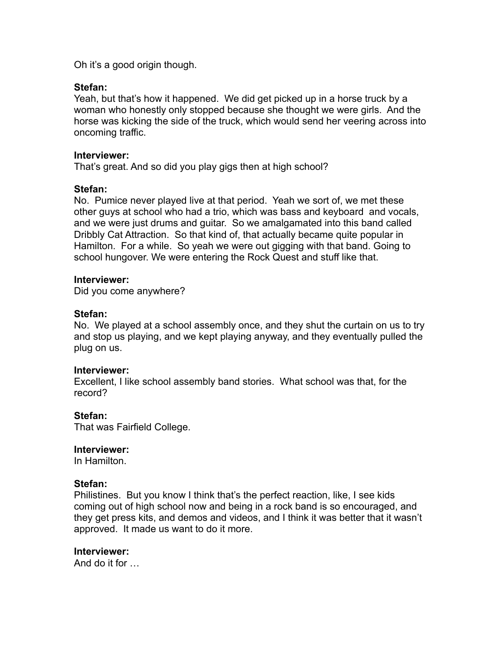Oh it's a good origin though.

## **Stefan:**

Yeah, but that's how it happened. We did get picked up in a horse truck by a woman who honestly only stopped because she thought we were girls. And the horse was kicking the side of the truck, which would send her veering across into oncoming traffic.

### **Interviewer:**

That's great. And so did you play gigs then at high school?

## **Stefan:**

No. Pumice never played live at that period. Yeah we sort of, we met these other guys at school who had a trio, which was bass and keyboard and vocals, and we were just drums and guitar. So we amalgamated into this band called Dribbly Cat Attraction. So that kind of, that actually became quite popular in Hamilton. For a while. So yeah we were out gigging with that band. Going to school hungover. We were entering the Rock Quest and stuff like that.

## **Interviewer:**

Did you come anywhere?

## **Stefan:**

No. We played at a school assembly once, and they shut the curtain on us to try and stop us playing, and we kept playing anyway, and they eventually pulled the plug on us.

### **Interviewer:**

Excellent, I like school assembly band stories. What school was that, for the record?

# **Stefan:**

That was Fairfield College.

### **Interviewer:**

In Hamilton.

### **Stefan:**

Philistines. But you know I think that's the perfect reaction, like, I see kids coming out of high school now and being in a rock band is so encouraged, and they get press kits, and demos and videos, and I think it was better that it wasn't approved. It made us want to do it more.

### **Interviewer:**

And do it for …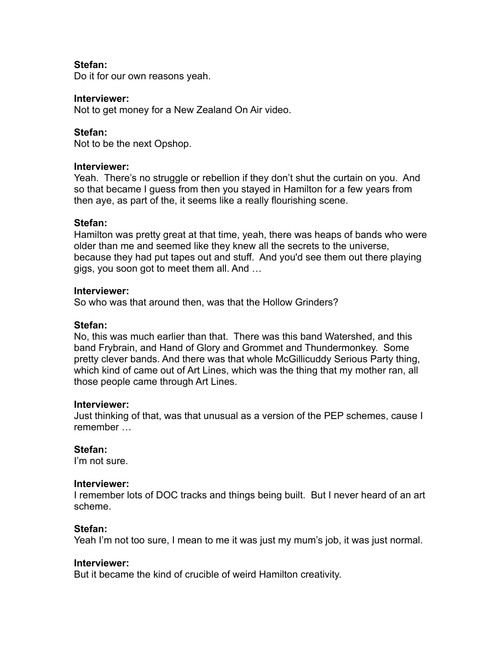Do it for our own reasons yeah.

#### **Interviewer:**

Not to get money for a New Zealand On Air video.

## **Stefan:**

Not to be the next Opshop.

### **Interviewer:**

Yeah. There's no struggle or rebellion if they don't shut the curtain on you. And so that became I guess from then you stayed in Hamilton for a few years from then aye, as part of the, it seems like a really flourishing scene.

### **Stefan:**

Hamilton was pretty great at that time, yeah, there was heaps of bands who were older than me and seemed like they knew all the secrets to the universe, because they had put tapes out and stuff. And you'd see them out there playing gigs, you soon got to meet them all. And …

#### **Interviewer:**

So who was that around then, was that the Hollow Grinders?

#### **Stefan:**

No, this was much earlier than that. There was this band Watershed, and this band Frybrain, and Hand of Glory and Grommet and Thundermonkey. Some pretty clever bands. And there was that whole McGillicuddy Serious Party thing, which kind of came out of Art Lines, which was the thing that my mother ran, all those people came through Art Lines.

#### **Interviewer:**

Just thinking of that, was that unusual as a version of the PEP schemes, cause I remember …

#### **Stefan:**

I'm not sure.

#### **Interviewer:**

I remember lots of DOC tracks and things being built. But I never heard of an art scheme.

### **Stefan:**

Yeah I'm not too sure, I mean to me it was just my mum's job, it was just normal.

#### **Interviewer:**

But it became the kind of crucible of weird Hamilton creativity.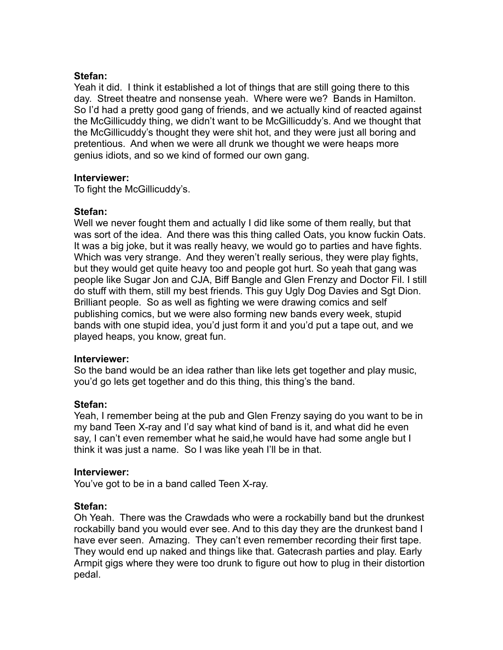Yeah it did. I think it established a lot of things that are still going there to this day. Street theatre and nonsense yeah. Where were we? Bands in Hamilton. So I'd had a pretty good gang of friends, and we actually kind of reacted against the McGillicuddy thing, we didn't want to be McGillicuddy's. And we thought that the McGillicuddy's thought they were shit hot, and they were just all boring and pretentious. And when we were all drunk we thought we were heaps more genius idiots, and so we kind of formed our own gang.

# **Interviewer:**

To fight the McGillicuddy's.

## **Stefan:**

Well we never fought them and actually I did like some of them really, but that was sort of the idea. And there was this thing called Oats, you know fuckin Oats. It was a big joke, but it was really heavy, we would go to parties and have fights. Which was very strange. And they weren't really serious, they were play fights, but they would get quite heavy too and people got hurt. So yeah that gang was people like Sugar Jon and CJA, Biff Bangle and Glen Frenzy and Doctor Fil. I still do stuff with them, still my best friends. This guy Ugly Dog Davies and Sgt Dion. Brilliant people. So as well as fighting we were drawing comics and self publishing comics, but we were also forming new bands every week, stupid bands with one stupid idea, you'd just form it and you'd put a tape out, and we played heaps, you know, great fun.

### **Interviewer:**

So the band would be an idea rather than like lets get together and play music, you'd go lets get together and do this thing, this thing's the band.

# **Stefan:**

Yeah, I remember being at the pub and Glen Frenzy saying do you want to be in my band Teen X-ray and I'd say what kind of band is it, and what did he even say, I can't even remember what he said,he would have had some angle but I think it was just a name. So I was like yeah I'll be in that.

### **Interviewer:**

You've got to be in a band called Teen X-ray.

# **Stefan:**

Oh Yeah. There was the Crawdads who were a rockabilly band but the drunkest rockabilly band you would ever see. And to this day they are the drunkest band I have ever seen. Amazing. They can't even remember recording their first tape. They would end up naked and things like that. Gatecrash parties and play. Early Armpit gigs where they were too drunk to figure out how to plug in their distortion pedal.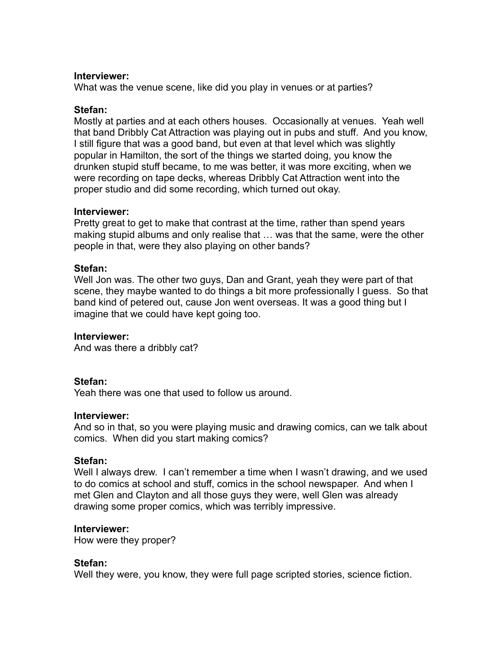### **Interviewer:**

What was the venue scene, like did you play in venues or at parties?

## **Stefan:**

Mostly at parties and at each others houses. Occasionally at venues. Yeah well that band Dribbly Cat Attraction was playing out in pubs and stuff. And you know, I still figure that was a good band, but even at that level which was slightly popular in Hamilton, the sort of the things we started doing, you know the drunken stupid stuff became, to me was better, it was more exciting, when we were recording on tape decks, whereas Dribbly Cat Attraction went into the proper studio and did some recording, which turned out okay.

## **Interviewer:**

Pretty great to get to make that contrast at the time, rather than spend years making stupid albums and only realise that … was that the same, were the other people in that, were they also playing on other bands?

## **Stefan:**

Well Jon was. The other two guys, Dan and Grant, yeah they were part of that scene, they maybe wanted to do things a bit more professionally I guess. So that band kind of petered out, cause Jon went overseas. It was a good thing but I imagine that we could have kept going too.

### **Interviewer:**

And was there a dribbly cat?

# **Stefan:**

Yeah there was one that used to follow us around.

### **Interviewer:**

And so in that, so you were playing music and drawing comics, can we talk about comics. When did you start making comics?

### **Stefan:**

Well I always drew. I can't remember a time when I wasn't drawing, and we used to do comics at school and stuff, comics in the school newspaper. And when I met Glen and Clayton and all those guys they were, well Glen was already drawing some proper comics, which was terribly impressive.

### **Interviewer:**

How were they proper?

# **Stefan:**

Well they were, you know, they were full page scripted stories, science fiction.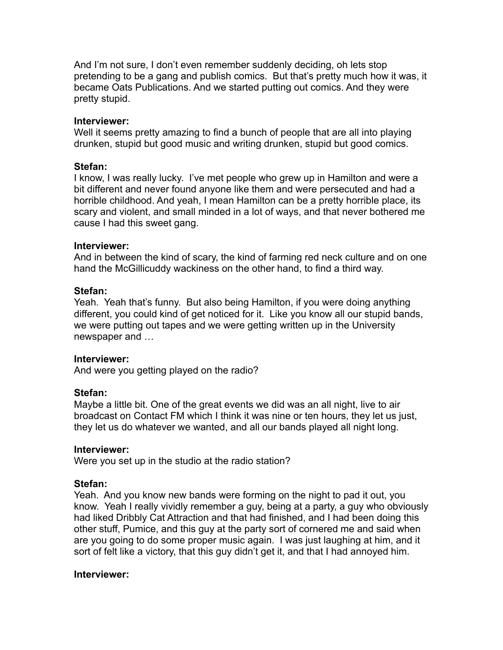And I'm not sure, I don't even remember suddenly deciding, oh lets stop pretending to be a gang and publish comics. But that's pretty much how it was, it became Oats Publications. And we started putting out comics. And they were pretty stupid.

#### **Interviewer:**

Well it seems pretty amazing to find a bunch of people that are all into playing drunken, stupid but good music and writing drunken, stupid but good comics.

#### **Stefan:**

I know, I was really lucky. I've met people who grew up in Hamilton and were a bit different and never found anyone like them and were persecuted and had a horrible childhood. And yeah, I mean Hamilton can be a pretty horrible place, its scary and violent, and small minded in a lot of ways, and that never bothered me cause I had this sweet gang.

#### **Interviewer:**

And in between the kind of scary, the kind of farming red neck culture and on one hand the McGillicuddy wackiness on the other hand, to find a third way.

#### **Stefan:**

Yeah. Yeah that's funny. But also being Hamilton, if you were doing anything different, you could kind of get noticed for it. Like you know all our stupid bands, we were putting out tapes and we were getting written up in the University newspaper and …

### **Interviewer:**

And were you getting played on the radio?

### **Stefan:**

Maybe a little bit. One of the great events we did was an all night, live to air broadcast on Contact FM which I think it was nine or ten hours, they let us just, they let us do whatever we wanted, and all our bands played all night long.

#### **Interviewer:**

Were you set up in the studio at the radio station?

### **Stefan:**

Yeah. And you know new bands were forming on the night to pad it out, you know. Yeah I really vividly remember a guy, being at a party, a guy who obviously had liked Dribbly Cat Attraction and that had finished, and I had been doing this other stuff, Pumice, and this guy at the party sort of cornered me and said when are you going to do some proper music again. I was just laughing at him, and it sort of felt like a victory, that this guy didn't get it, and that I had annoyed him.

#### **Interviewer:**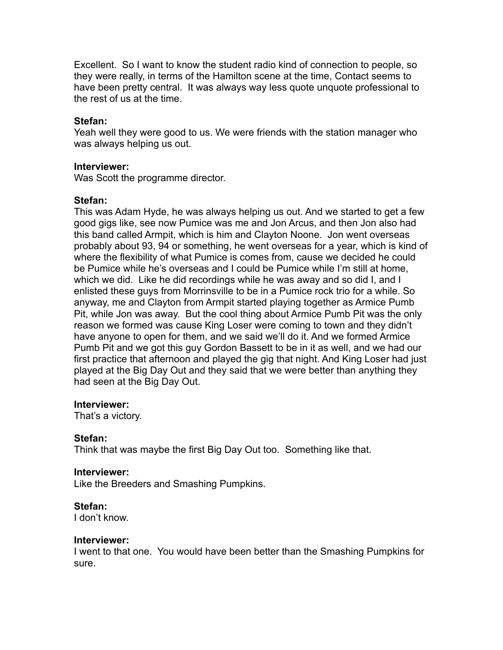Excellent. So I want to know the student radio kind of connection to people, so they were really, in terms of the Hamilton scene at the time, Contact seems to have been pretty central. It was always way less quote unquote professional to the rest of us at the time.

### **Stefan:**

Yeah well they were good to us. We were friends with the station manager who was always helping us out.

#### **Interviewer:**

Was Scott the programme director.

### **Stefan:**

This was Adam Hyde, he was always helping us out. And we started to get a few good gigs like, see now Pumice was me and Jon Arcus, and then Jon also had this band called Armpit, which is him and Clayton Noone. Jon went overseas probably about 93, 94 or something, he went overseas for a year, which is kind of where the flexibility of what Pumice is comes from, cause we decided he could be Pumice while he's overseas and I could be Pumice while I'm still at home, which we did. Like he did recordings while he was away and so did I, and I enlisted these guys from Morrinsville to be in a Pumice rock trio for a while. So anyway, me and Clayton from Armpit started playing together as Armice Pumb Pit, while Jon was away. But the cool thing about Armice Pumb Pit was the only reason we formed was cause King Loser were coming to town and they didn't have anyone to open for them, and we said we'll do it. And we formed Armice Pumb Pit and we got this guy Gordon Bassett to be in it as well, and we had our first practice that afternoon and played the gig that night. And King Loser had just played at the Big Day Out and they said that we were better than anything they had seen at the Big Day Out.

### **Interviewer:**

That's a victory.

### **Stefan:**

Think that was maybe the first Big Day Out too. Something like that.

#### **Interviewer:**

Like the Breeders and Smashing Pumpkins.

### **Stefan:**

I don't know.

#### **Interviewer:**

I went to that one. You would have been better than the Smashing Pumpkins for sure.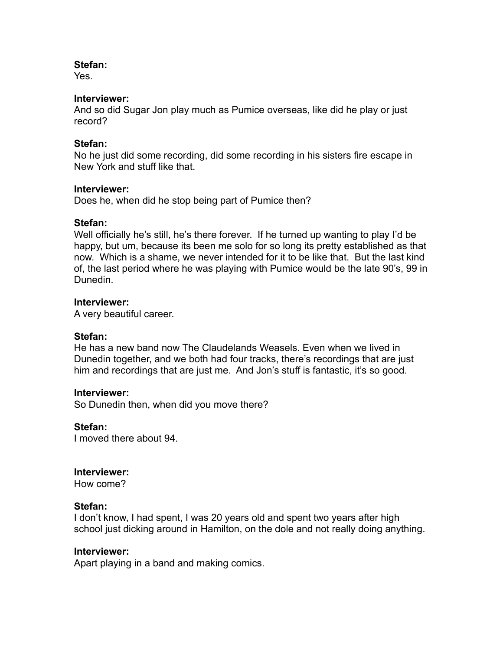Yes.

## **Interviewer:**

And so did Sugar Jon play much as Pumice overseas, like did he play or just record?

## **Stefan:**

No he just did some recording, did some recording in his sisters fire escape in New York and stuff like that.

### **Interviewer:**

Does he, when did he stop being part of Pumice then?

## **Stefan:**

Well officially he's still, he's there forever. If he turned up wanting to play I'd be happy, but um, because its been me solo for so long its pretty established as that now. Which is a shame, we never intended for it to be like that. But the last kind of, the last period where he was playing with Pumice would be the late 90's, 99 in Dunedin.

## **Interviewer:**

A very beautiful career.

### **Stefan:**

He has a new band now The Claudelands Weasels. Even when we lived in Dunedin together, and we both had four tracks, there's recordings that are just him and recordings that are just me. And Jon's stuff is fantastic, it's so good.

### **Interviewer:**

So Dunedin then, when did you move there?

### **Stefan:**

I moved there about 94.

### **Interviewer:**

How come?

### **Stefan:**

I don't know, I had spent, I was 20 years old and spent two years after high school just dicking around in Hamilton, on the dole and not really doing anything.

### **Interviewer:**

Apart playing in a band and making comics.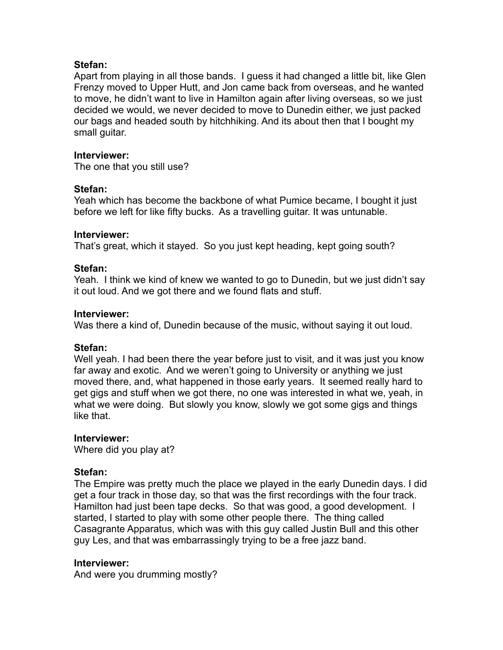Apart from playing in all those bands. I guess it had changed a little bit, like Glen Frenzy moved to Upper Hutt, and Jon came back from overseas, and he wanted to move, he didn't want to live in Hamilton again after living overseas, so we just decided we would, we never decided to move to Dunedin either, we just packed our bags and headed south by hitchhiking. And its about then that I bought my small guitar.

## **Interviewer:**

The one that you still use?

## **Stefan:**

Yeah which has become the backbone of what Pumice became, I bought it just before we left for like fifty bucks. As a travelling guitar. It was untunable.

## **Interviewer:**

That's great, which it stayed. So you just kept heading, kept going south?

## **Stefan:**

Yeah. I think we kind of knew we wanted to go to Dunedin, but we just didn't say it out loud. And we got there and we found flats and stuff.

### **Interviewer:**

Was there a kind of, Dunedin because of the music, without saying it out loud.

### **Stefan:**

Well yeah. I had been there the year before just to visit, and it was just you know far away and exotic. And we weren't going to University or anything we just moved there, and, what happened in those early years. It seemed really hard to get gigs and stuff when we got there, no one was interested in what we, yeah, in what we were doing. But slowly you know, slowly we got some gigs and things like that.

# **Interviewer:**

Where did you play at?

# **Stefan:**

The Empire was pretty much the place we played in the early Dunedin days. I did get a four track in those day, so that was the first recordings with the four track. Hamilton had just been tape decks. So that was good, a good development. I started, I started to play with some other people there. The thing called Casagrante Apparatus, which was with this guy called Justin Bull and this other guy Les, and that was embarrassingly trying to be a free jazz band.

### **Interviewer:**

And were you drumming mostly?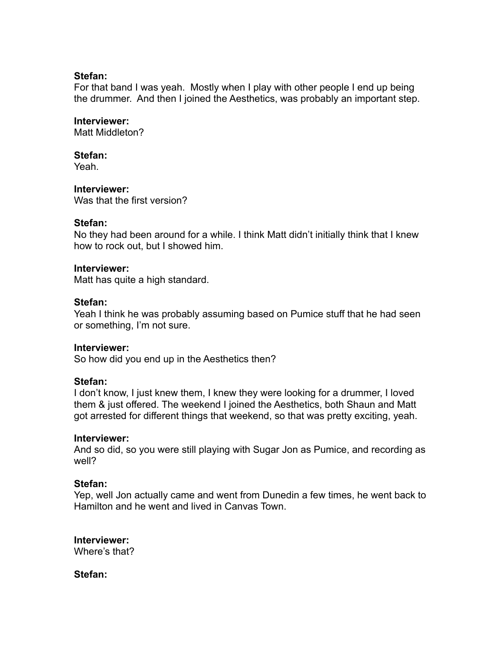For that band I was yeah. Mostly when I play with other people I end up being the drummer. And then I joined the Aesthetics, was probably an important step.

# **Interviewer:**

Matt Middleton?

## **Stefan:**

Yeah.

## **Interviewer:**

Was that the first version?

# **Stefan:**

No they had been around for a while. I think Matt didn't initially think that I knew how to rock out, but I showed him.

## **Interviewer:**

Matt has quite a high standard.

## **Stefan:**

Yeah I think he was probably assuming based on Pumice stuff that he had seen or something, I'm not sure.

### **Interviewer:**

So how did you end up in the Aesthetics then?

### **Stefan:**

I don't know, I just knew them, I knew they were looking for a drummer, I loved them & just offered. The weekend I joined the Aesthetics, both Shaun and Matt got arrested for different things that weekend, so that was pretty exciting, yeah.

### **Interviewer:**

And so did, so you were still playing with Sugar Jon as Pumice, and recording as well?

### **Stefan:**

Yep, well Jon actually came and went from Dunedin a few times, he went back to Hamilton and he went and lived in Canvas Town.

**Interviewer:**  Where's that?

# **Stefan:**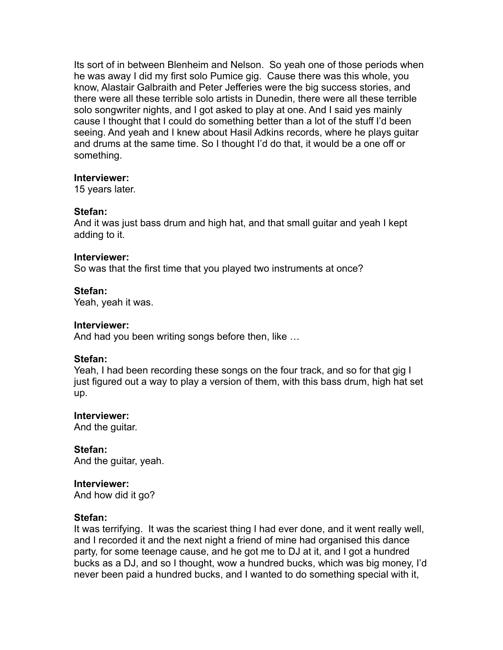Its sort of in between Blenheim and Nelson. So yeah one of those periods when he was away I did my first solo Pumice gig. Cause there was this whole, you know, Alastair Galbraith and Peter Jefferies were the big success stories, and there were all these terrible solo artists in Dunedin, there were all these terrible solo songwriter nights, and I got asked to play at one. And I said yes mainly cause I thought that I could do something better than a lot of the stuff I'd been seeing. And yeah and I knew about Hasil Adkins records, where he plays guitar and drums at the same time. So I thought I'd do that, it would be a one off or something.

## **Interviewer:**

15 years later.

# **Stefan:**

And it was just bass drum and high hat, and that small guitar and yeah I kept adding to it.

## **Interviewer:**

So was that the first time that you played two instruments at once?

## **Stefan:**

Yeah, yeah it was.

### **Interviewer:**

And had you been writing songs before then, like …

# **Stefan:**

Yeah, I had been recording these songs on the four track, and so for that gig I just figured out a way to play a version of them, with this bass drum, high hat set up.

### **Interviewer:**

And the guitar.

# **Stefan:**

And the guitar, yeah.

### **Interviewer:**

And how did it go?

### **Stefan:**

It was terrifying. It was the scariest thing I had ever done, and it went really well, and I recorded it and the next night a friend of mine had organised this dance party, for some teenage cause, and he got me to DJ at it, and I got a hundred bucks as a DJ, and so I thought, wow a hundred bucks, which was big money, I'd never been paid a hundred bucks, and I wanted to do something special with it,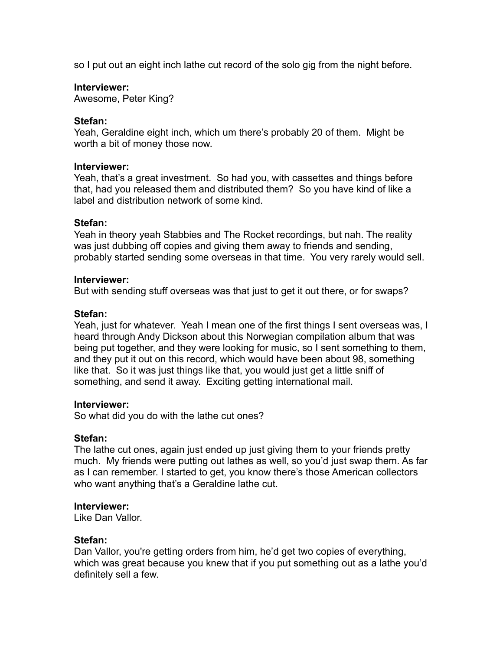so I put out an eight inch lathe cut record of the solo gig from the night before.

### **Interviewer:**

Awesome, Peter King?

## **Stefan:**

Yeah, Geraldine eight inch, which um there's probably 20 of them. Might be worth a bit of money those now.

### **Interviewer:**

Yeah, that's a great investment. So had you, with cassettes and things before that, had you released them and distributed them? So you have kind of like a label and distribution network of some kind.

## **Stefan:**

Yeah in theory yeah Stabbies and The Rocket recordings, but nah. The reality was just dubbing off copies and giving them away to friends and sending, probably started sending some overseas in that time. You very rarely would sell.

### **Interviewer:**

But with sending stuff overseas was that just to get it out there, or for swaps?

## **Stefan:**

Yeah, just for whatever. Yeah I mean one of the first things I sent overseas was, I heard through Andy Dickson about this Norwegian compilation album that was being put together, and they were looking for music, so I sent something to them, and they put it out on this record, which would have been about 98, something like that. So it was just things like that, you would just get a little sniff of something, and send it away. Exciting getting international mail.

### **Interviewer:**

So what did you do with the lathe cut ones?

# **Stefan:**

The lathe cut ones, again just ended up just giving them to your friends pretty much. My friends were putting out lathes as well, so you'd just swap them. As far as I can remember. I started to get, you know there's those American collectors who want anything that's a Geraldine lathe cut.

### **Interviewer:**

Like Dan Vallor.

# **Stefan:**

Dan Vallor, you're getting orders from him, he'd get two copies of everything, which was great because you knew that if you put something out as a lathe you'd definitely sell a few.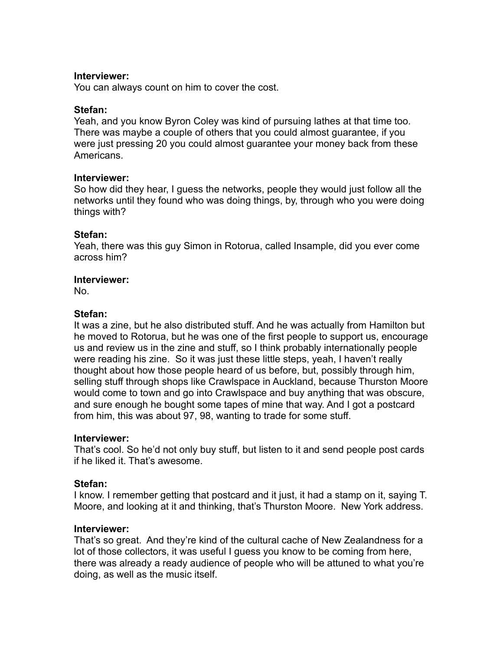### **Interviewer:**

You can always count on him to cover the cost.

## **Stefan:**

Yeah, and you know Byron Coley was kind of pursuing lathes at that time too. There was maybe a couple of others that you could almost guarantee, if you were just pressing 20 you could almost guarantee your money back from these Americans.

## **Interviewer:**

So how did they hear, I guess the networks, people they would just follow all the networks until they found who was doing things, by, through who you were doing things with?

## **Stefan:**

Yeah, there was this guy Simon in Rotorua, called Insample, did you ever come across him?

## **Interviewer:**

No.

## **Stefan:**

It was a zine, but he also distributed stuff. And he was actually from Hamilton but he moved to Rotorua, but he was one of the first people to support us, encourage us and review us in the zine and stuff, so I think probably internationally people were reading his zine. So it was just these little steps, yeah, I haven't really thought about how those people heard of us before, but, possibly through him, selling stuff through shops like Crawlspace in Auckland, because Thurston Moore would come to town and go into Crawlspace and buy anything that was obscure, and sure enough he bought some tapes of mine that way. And I got a postcard from him, this was about 97, 98, wanting to trade for some stuff.

### **Interviewer:**

That's cool. So he'd not only buy stuff, but listen to it and send people post cards if he liked it. That's awesome.

# **Stefan:**

I know. I remember getting that postcard and it just, it had a stamp on it, saying T. Moore, and looking at it and thinking, that's Thurston Moore. New York address.

### **Interviewer:**

That's so great. And they're kind of the cultural cache of New Zealandness for a lot of those collectors, it was useful I guess you know to be coming from here, there was already a ready audience of people who will be attuned to what you're doing, as well as the music itself.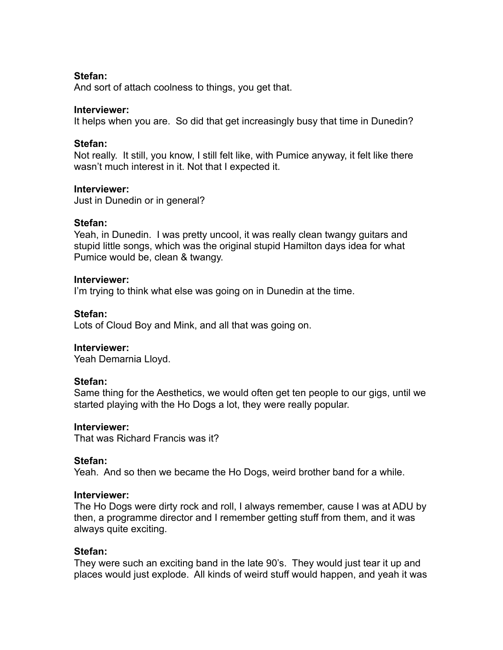And sort of attach coolness to things, you get that.

## **Interviewer:**

It helps when you are. So did that get increasingly busy that time in Dunedin?

## **Stefan:**

Not really. It still, you know, I still felt like, with Pumice anyway, it felt like there wasn't much interest in it. Not that I expected it.

### **Interviewer:**

Just in Dunedin or in general?

## **Stefan:**

Yeah, in Dunedin. I was pretty uncool, it was really clean twangy guitars and stupid little songs, which was the original stupid Hamilton days idea for what Pumice would be, clean & twangy.

## **Interviewer:**

I'm trying to think what else was going on in Dunedin at the time.

## **Stefan:**

Lots of Cloud Boy and Mink, and all that was going on.

### **Interviewer:**

Yeah Demarnia Lloyd.

### **Stefan:**

Same thing for the Aesthetics, we would often get ten people to our gigs, until we started playing with the Ho Dogs a lot, they were really popular.

### **Interviewer:**

That was Richard Francis was it?

### **Stefan:**

Yeah. And so then we became the Ho Dogs, weird brother band for a while.

### **Interviewer:**

The Ho Dogs were dirty rock and roll, I always remember, cause I was at ADU by then, a programme director and I remember getting stuff from them, and it was always quite exciting.

# **Stefan:**

They were such an exciting band in the late 90's. They would just tear it up and places would just explode. All kinds of weird stuff would happen, and yeah it was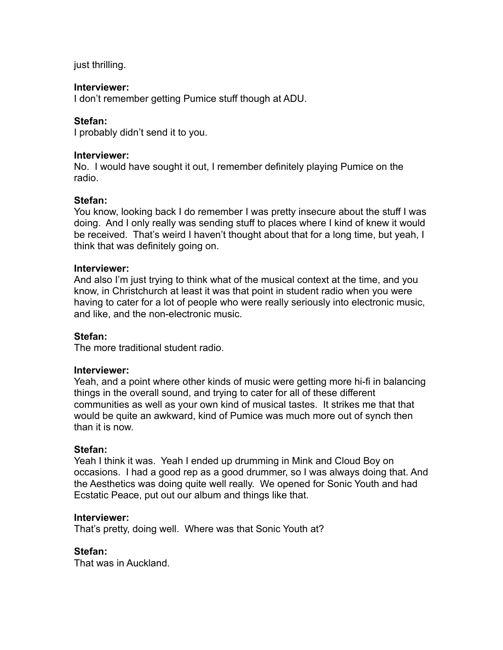just thrilling.

### **Interviewer:**

I don't remember getting Pumice stuff though at ADU.

# **Stefan:**

I probably didn't send it to you.

### **Interviewer:**

No. I would have sought it out, I remember definitely playing Pumice on the radio.

# **Stefan:**

You know, looking back I do remember I was pretty insecure about the stuff I was doing. And I only really was sending stuff to places where I kind of knew it would be received. That's weird I haven't thought about that for a long time, but yeah, I think that was definitely going on.

### **Interviewer:**

And also I'm just trying to think what of the musical context at the time, and you know, in Christchurch at least it was that point in student radio when you were having to cater for a lot of people who were really seriously into electronic music, and like, and the non-electronic music.

### **Stefan:**

The more traditional student radio.

### **Interviewer:**

Yeah, and a point where other kinds of music were getting more hi-fi in balancing things in the overall sound, and trying to cater for all of these different communities as well as your own kind of musical tastes. It strikes me that that would be quite an awkward, kind of Pumice was much more out of synch then than it is now.

### **Stefan:**

Yeah I think it was. Yeah I ended up drumming in Mink and Cloud Boy on occasions. I had a good rep as a good drummer, so I was always doing that. And the Aesthetics was doing quite well really. We opened for Sonic Youth and had Ecstatic Peace, put out our album and things like that.

### **Interviewer:**

That's pretty, doing well. Where was that Sonic Youth at?

# **Stefan:**

That was in Auckland.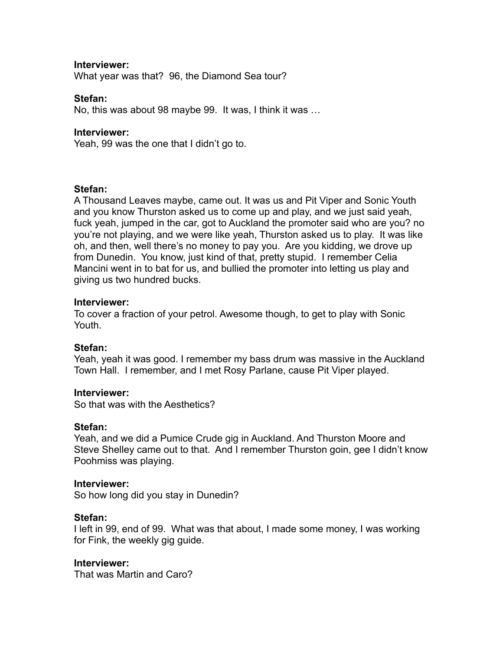### **Interviewer:**

What year was that? 96, the Diamond Sea tour?

#### **Stefan:**

No, this was about 98 maybe 99. It was, I think it was …

#### **Interviewer:**

Yeah, 99 was the one that I didn't go to.

### **Stefan:**

A Thousand Leaves maybe, came out. It was us and Pit Viper and Sonic Youth and you know Thurston asked us to come up and play, and we just said yeah, fuck yeah, jumped in the car, got to Auckland the promoter said who are you? no you're not playing, and we were like yeah, Thurston asked us to play. It was like oh, and then, well there's no money to pay you. Are you kidding, we drove up from Dunedin. You know, just kind of that, pretty stupid. I remember Celia Mancini went in to bat for us, and bullied the promoter into letting us play and giving us two hundred bucks.

#### **Interviewer:**

To cover a fraction of your petrol. Awesome though, to get to play with Sonic Youth.

### **Stefan:**

Yeah, yeah it was good. I remember my bass drum was massive in the Auckland Town Hall. I remember, and I met Rosy Parlane, cause Pit Viper played.

### **Interviewer:**

So that was with the Aesthetics?

### **Stefan:**

Yeah, and we did a Pumice Crude gig in Auckland. And Thurston Moore and Steve Shelley came out to that. And I remember Thurston goin, gee I didn't know Poohmiss was playing.

#### **Interviewer:**

So how long did you stay in Dunedin?

#### **Stefan:**

I left in 99, end of 99. What was that about, I made some money, I was working for Fink, the weekly gig guide.

### **Interviewer:**

That was Martin and Caro?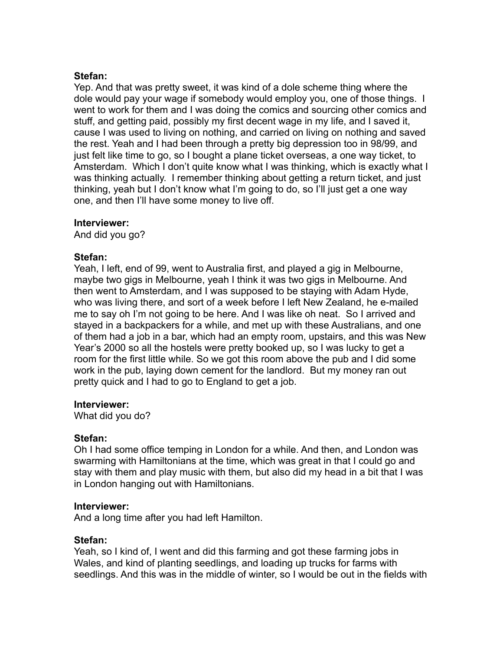Yep. And that was pretty sweet, it was kind of a dole scheme thing where the dole would pay your wage if somebody would employ you, one of those things. I went to work for them and I was doing the comics and sourcing other comics and stuff, and getting paid, possibly my first decent wage in my life, and I saved it, cause I was used to living on nothing, and carried on living on nothing and saved the rest. Yeah and I had been through a pretty big depression too in 98/99, and just felt like time to go, so I bought a plane ticket overseas, a one way ticket, to Amsterdam. Which I don't quite know what I was thinking, which is exactly what I was thinking actually. I remember thinking about getting a return ticket, and just thinking, yeah but I don't know what I'm going to do, so I'll just get a one way one, and then I'll have some money to live off.

# **Interviewer:**

And did you go?

# **Stefan:**

Yeah, I left, end of 99, went to Australia first, and played a gig in Melbourne, maybe two gigs in Melbourne, yeah I think it was two gigs in Melbourne. And then went to Amsterdam, and I was supposed to be staying with Adam Hyde, who was living there, and sort of a week before I left New Zealand, he e-mailed me to say oh I'm not going to be here. And I was like oh neat. So I arrived and stayed in a backpackers for a while, and met up with these Australians, and one of them had a job in a bar, which had an empty room, upstairs, and this was New Year's 2000 so all the hostels were pretty booked up, so I was lucky to get a room for the first little while. So we got this room above the pub and I did some work in the pub, laying down cement for the landlord. But my money ran out pretty quick and I had to go to England to get a job.

# **Interviewer:**

What did you do?

### **Stefan:**

Oh I had some office temping in London for a while. And then, and London was swarming with Hamiltonians at the time, which was great in that I could go and stay with them and play music with them, but also did my head in a bit that I was in London hanging out with Hamiltonians.

### **Interviewer:**

And a long time after you had left Hamilton.

# **Stefan:**

Yeah, so I kind of, I went and did this farming and got these farming jobs in Wales, and kind of planting seedlings, and loading up trucks for farms with seedlings. And this was in the middle of winter, so I would be out in the fields with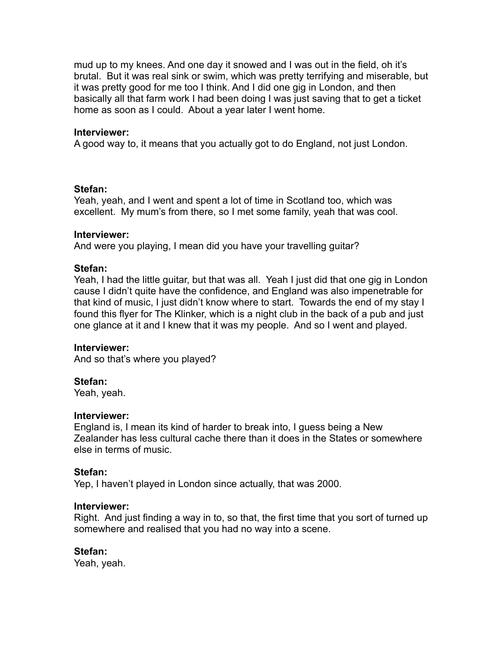mud up to my knees. And one day it snowed and I was out in the field, oh it's brutal. But it was real sink or swim, which was pretty terrifying and miserable, but it was pretty good for me too I think. And I did one gig in London, and then basically all that farm work I had been doing I was just saving that to get a ticket home as soon as I could. About a year later I went home.

#### **Interviewer:**

A good way to, it means that you actually got to do England, not just London.

### **Stefan:**

Yeah, yeah, and I went and spent a lot of time in Scotland too, which was excellent. My mum's from there, so I met some family, yeah that was cool.

#### **Interviewer:**

And were you playing, I mean did you have your travelling guitar?

## **Stefan:**

Yeah, I had the little guitar, but that was all. Yeah I just did that one gig in London cause I didn't quite have the confidence, and England was also impenetrable for that kind of music, I just didn't know where to start. Towards the end of my stay I found this flyer for The Klinker, which is a night club in the back of a pub and just one glance at it and I knew that it was my people. And so I went and played.

#### **Interviewer:**

And so that's where you played?

### **Stefan:**

Yeah, yeah.

#### **Interviewer:**

England is, I mean its kind of harder to break into, I guess being a New Zealander has less cultural cache there than it does in the States or somewhere else in terms of music.

### **Stefan:**

Yep, I haven't played in London since actually, that was 2000.

### **Interviewer:**

Right. And just finding a way in to, so that, the first time that you sort of turned up somewhere and realised that you had no way into a scene.

### **Stefan:**

Yeah, yeah.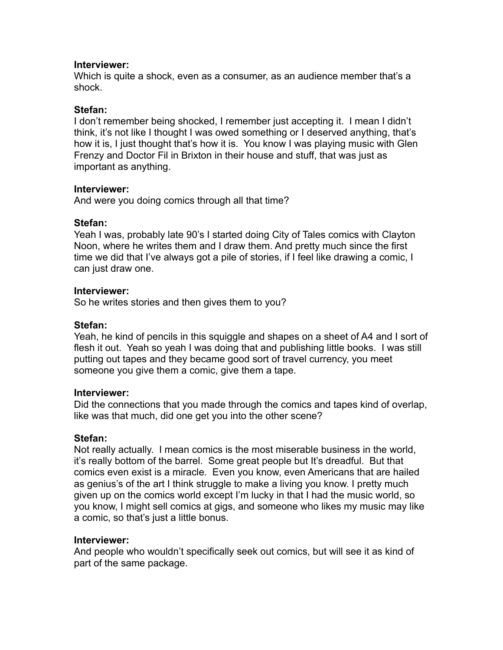### **Interviewer:**

Which is quite a shock, even as a consumer, as an audience member that's a shock.

# **Stefan:**

I don't remember being shocked, I remember just accepting it. I mean I didn't think, it's not like I thought I was owed something or I deserved anything, that's how it is, I just thought that's how it is. You know I was playing music with Glen Frenzy and Doctor Fil in Brixton in their house and stuff, that was just as important as anything.

# **Interviewer:**

And were you doing comics through all that time?

# **Stefan:**

Yeah I was, probably late 90's I started doing City of Tales comics with Clayton Noon, where he writes them and I draw them. And pretty much since the first time we did that I've always got a pile of stories, if I feel like drawing a comic, I can just draw one.

## **Interviewer:**

So he writes stories and then gives them to you?

## **Stefan:**

Yeah, he kind of pencils in this squiggle and shapes on a sheet of A4 and I sort of flesh it out. Yeah so yeah I was doing that and publishing little books. I was still putting out tapes and they became good sort of travel currency, you meet someone you give them a comic, give them a tape.

### **Interviewer:**

Did the connections that you made through the comics and tapes kind of overlap, like was that much, did one get you into the other scene?

# **Stefan:**

Not really actually. I mean comics is the most miserable business in the world, it's really bottom of the barrel. Some great people but It's dreadful. But that comics even exist is a miracle. Even you know, even Americans that are hailed as genius's of the art I think struggle to make a living you know. I pretty much given up on the comics world except I'm lucky in that I had the music world, so you know, I might sell comics at gigs, and someone who likes my music may like a comic, so that's just a little bonus.

# **Interviewer:**

And people who wouldn't specifically seek out comics, but will see it as kind of part of the same package.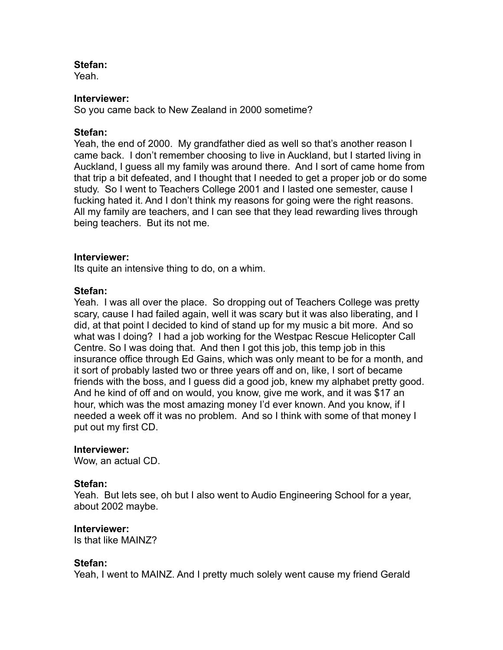Yeah.

## **Interviewer:**

So you came back to New Zealand in 2000 sometime?

## **Stefan:**

Yeah, the end of 2000. My grandfather died as well so that's another reason I came back. I don't remember choosing to live in Auckland, but I started living in Auckland, I guess all my family was around there. And I sort of came home from that trip a bit defeated, and I thought that I needed to get a proper job or do some study. So I went to Teachers College 2001 and I lasted one semester, cause I fucking hated it. And I don't think my reasons for going were the right reasons. All my family are teachers, and I can see that they lead rewarding lives through being teachers. But its not me.

## **Interviewer:**

Its quite an intensive thing to do, on a whim.

## **Stefan:**

Yeah. I was all over the place. So dropping out of Teachers College was pretty scary, cause I had failed again, well it was scary but it was also liberating, and I did, at that point I decided to kind of stand up for my music a bit more. And so what was I doing? I had a job working for the Westpac Rescue Helicopter Call Centre. So I was doing that. And then I got this job, this temp job in this insurance office through Ed Gains, which was only meant to be for a month, and it sort of probably lasted two or three years off and on, like, I sort of became friends with the boss, and I guess did a good job, knew my alphabet pretty good. And he kind of off and on would, you know, give me work, and it was \$17 an hour, which was the most amazing money I'd ever known. And you know, if I needed a week off it was no problem. And so I think with some of that money I put out my first CD.

### **Interviewer:**

Wow, an actual CD.

### **Stefan:**

Yeah. But lets see, oh but I also went to Audio Engineering School for a year, about 2002 maybe.

### **Interviewer:**

Is that like MAINZ?

# **Stefan:**

Yeah, I went to MAINZ. And I pretty much solely went cause my friend Gerald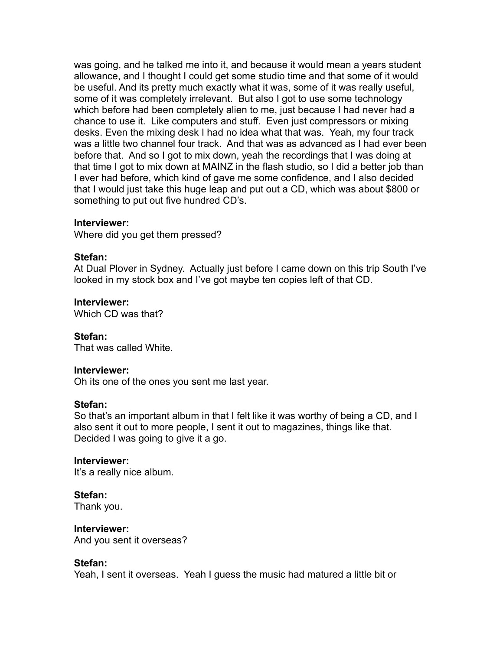was going, and he talked me into it, and because it would mean a years student allowance, and I thought I could get some studio time and that some of it would be useful. And its pretty much exactly what it was, some of it was really useful, some of it was completely irrelevant. But also I got to use some technology which before had been completely alien to me, just because I had never had a chance to use it. Like computers and stuff. Even just compressors or mixing desks. Even the mixing desk I had no idea what that was. Yeah, my four track was a little two channel four track. And that was as advanced as I had ever been before that. And so I got to mix down, yeah the recordings that I was doing at that time I got to mix down at MAINZ in the flash studio, so I did a better job than I ever had before, which kind of gave me some confidence, and I also decided that I would just take this huge leap and put out a CD, which was about \$800 or something to put out five hundred CD's.

### **Interviewer:**

Where did you get them pressed?

#### **Stefan:**

At Dual Plover in Sydney. Actually just before I came down on this trip South I've looked in my stock box and I've got maybe ten copies left of that CD.

#### **Interviewer:**

Which CD was that?

#### **Stefan:**

That was called White.

#### **Interviewer:**

Oh its one of the ones you sent me last year.

#### **Stefan:**

So that's an important album in that I felt like it was worthy of being a CD, and I also sent it out to more people, I sent it out to magazines, things like that. Decided I was going to give it a go.

#### **Interviewer:**

It's a really nice album.

### **Stefan:**

Thank you.

#### **Interviewer:**

And you sent it overseas?

#### **Stefan:**

Yeah, I sent it overseas. Yeah I guess the music had matured a little bit or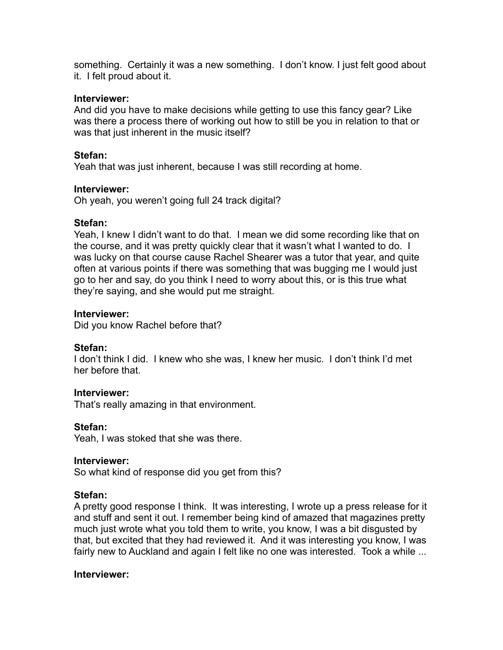something. Certainly it was a new something. I don't know. I just felt good about it. I felt proud about it.

### **Interviewer:**

And did you have to make decisions while getting to use this fancy gear? Like was there a process there of working out how to still be you in relation to that or was that just inherent in the music itself?

# **Stefan:**

Yeah that was just inherent, because I was still recording at home.

## **Interviewer:**

Oh yeah, you weren't going full 24 track digital?

## **Stefan:**

Yeah, I knew I didn't want to do that. I mean we did some recording like that on the course, and it was pretty quickly clear that it wasn't what I wanted to do. I was lucky on that course cause Rachel Shearer was a tutor that year, and quite often at various points if there was something that was bugging me I would just go to her and say, do you think I need to worry about this, or is this true what they're saying, and she would put me straight.

## **Interviewer:**

Did you know Rachel before that?

# **Stefan:**

I don't think I did. I knew who she was, I knew her music. I don't think I'd met her before that.

# **Interviewer:**

That's really amazing in that environment.

# **Stefan:**

Yeah, I was stoked that she was there.

### **Interviewer:**

So what kind of response did you get from this?

### **Stefan:**

A pretty good response I think. It was interesting, I wrote up a press release for it and stuff and sent it out. I remember being kind of amazed that magazines pretty much just wrote what you told them to write, you know, I was a bit disgusted by that, but excited that they had reviewed it. And it was interesting you know, I was fairly new to Auckland and again I felt like no one was interested. Took a while ...

### **Interviewer:**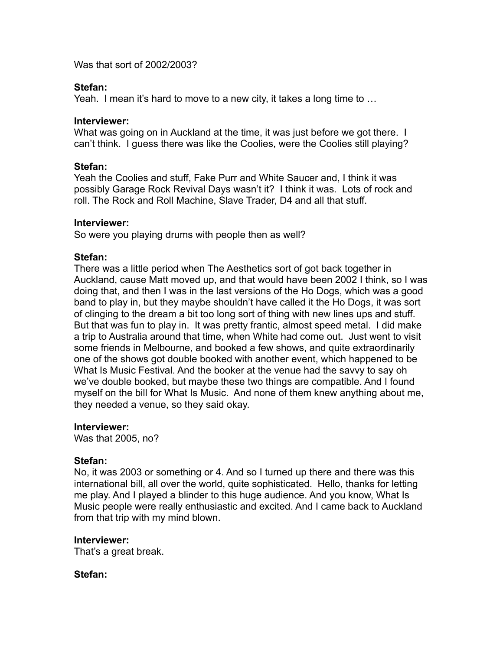Was that sort of 2002/2003?

## **Stefan:**

Yeah. I mean it's hard to move to a new city, it takes a long time to …

### **Interviewer:**

What was going on in Auckland at the time, it was just before we got there. I can't think. I guess there was like the Coolies, were the Coolies still playing?

## **Stefan:**

Yeah the Coolies and stuff, Fake Purr and White Saucer and, I think it was possibly Garage Rock Revival Days wasn't it? I think it was. Lots of rock and roll. The Rock and Roll Machine, Slave Trader, D4 and all that stuff.

## **Interviewer:**

So were you playing drums with people then as well?

# **Stefan:**

There was a little period when The Aesthetics sort of got back together in Auckland, cause Matt moved up, and that would have been 2002 I think, so I was doing that, and then I was in the last versions of the Ho Dogs, which was a good band to play in, but they maybe shouldn't have called it the Ho Dogs, it was sort of clinging to the dream a bit too long sort of thing with new lines ups and stuff. But that was fun to play in. It was pretty frantic, almost speed metal. I did make a trip to Australia around that time, when White had come out. Just went to visit some friends in Melbourne, and booked a few shows, and quite extraordinarily one of the shows got double booked with another event, which happened to be What Is Music Festival. And the booker at the venue had the savvy to say oh we've double booked, but maybe these two things are compatible. And I found myself on the bill for What Is Music. And none of them knew anything about me, they needed a venue, so they said okay.

# **Interviewer:**

Was that 2005, no?

# **Stefan:**

No, it was 2003 or something or 4. And so I turned up there and there was this international bill, all over the world, quite sophisticated. Hello, thanks for letting me play. And I played a blinder to this huge audience. And you know, What Is Music people were really enthusiastic and excited. And I came back to Auckland from that trip with my mind blown.

# **Interviewer:**

That's a great break.

# **Stefan:**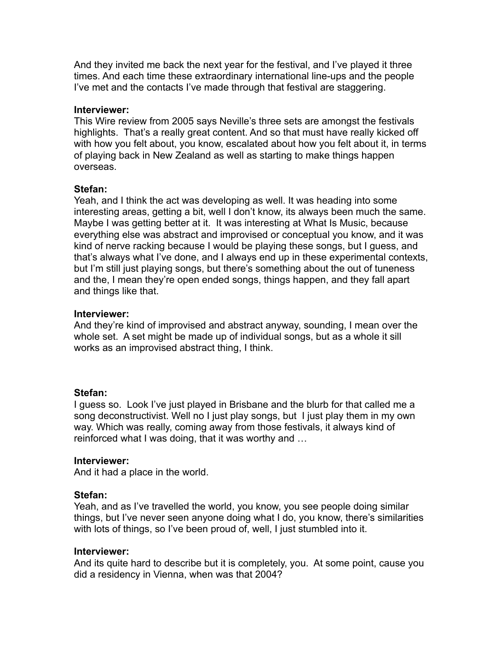And they invited me back the next year for the festival, and I've played it three times. And each time these extraordinary international line-ups and the people I've met and the contacts I've made through that festival are staggering.

### **Interviewer:**

This Wire review from 2005 says Neville's three sets are amongst the festivals highlights. That's a really great content. And so that must have really kicked off with how you felt about, you know, escalated about how you felt about it, in terms of playing back in New Zealand as well as starting to make things happen overseas.

# **Stefan:**

Yeah, and I think the act was developing as well. It was heading into some interesting areas, getting a bit, well I don't know, its always been much the same. Maybe I was getting better at it. It was interesting at What Is Music, because everything else was abstract and improvised or conceptual you know, and it was kind of nerve racking because I would be playing these songs, but I guess, and that's always what I've done, and I always end up in these experimental contexts, but I'm still just playing songs, but there's something about the out of tuneness and the, I mean they're open ended songs, things happen, and they fall apart and things like that.

## **Interviewer:**

And they're kind of improvised and abstract anyway, sounding, I mean over the whole set. A set might be made up of individual songs, but as a whole it sill works as an improvised abstract thing, I think.

# **Stefan:**

I guess so. Look I've just played in Brisbane and the blurb for that called me a song deconstructivist. Well no I just play songs, but I just play them in my own way. Which was really, coming away from those festivals, it always kind of reinforced what I was doing, that it was worthy and …

### **Interviewer:**

And it had a place in the world.

### **Stefan:**

Yeah, and as I've travelled the world, you know, you see people doing similar things, but I've never seen anyone doing what I do, you know, there's similarities with lots of things, so I've been proud of, well, I just stumbled into it.

# **Interviewer:**

And its quite hard to describe but it is completely, you. At some point, cause you did a residency in Vienna, when was that 2004?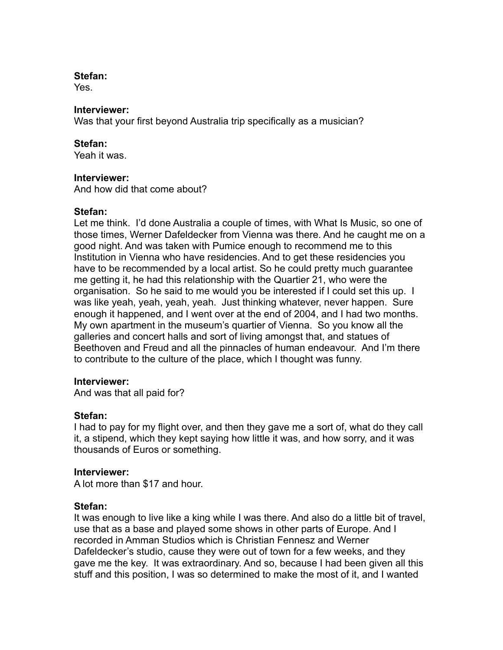Yes.

# **Interviewer:**

Was that your first beyond Australia trip specifically as a musician?

# **Stefan:**

Yeah it was.

## **Interviewer:**

And how did that come about?

# **Stefan:**

Let me think. I'd done Australia a couple of times, with What Is Music, so one of those times, Werner Dafeldecker from Vienna was there. And he caught me on a good night. And was taken with Pumice enough to recommend me to this Institution in Vienna who have residencies. And to get these residencies you have to be recommended by a local artist. So he could pretty much guarantee me getting it, he had this relationship with the Quartier 21, who were the organisation. So he said to me would you be interested if I could set this up. I was like yeah, yeah, yeah, yeah. Just thinking whatever, never happen. Sure enough it happened, and I went over at the end of 2004, and I had two months. My own apartment in the museum's quartier of Vienna. So you know all the galleries and concert halls and sort of living amongst that, and statues of Beethoven and Freud and all the pinnacles of human endeavour. And I'm there to contribute to the culture of the place, which I thought was funny.

# **Interviewer:**

And was that all paid for?

# **Stefan:**

I had to pay for my flight over, and then they gave me a sort of, what do they call it, a stipend, which they kept saying how little it was, and how sorry, and it was thousands of Euros or something.

# **Interviewer:**

A lot more than \$17 and hour.

# **Stefan:**

It was enough to live like a king while I was there. And also do a little bit of travel, use that as a base and played some shows in other parts of Europe. And I recorded in Amman Studios which is Christian Fennesz and Werner Dafeldecker's studio, cause they were out of town for a few weeks, and they gave me the key. It was extraordinary. And so, because I had been given all this stuff and this position, I was so determined to make the most of it, and I wanted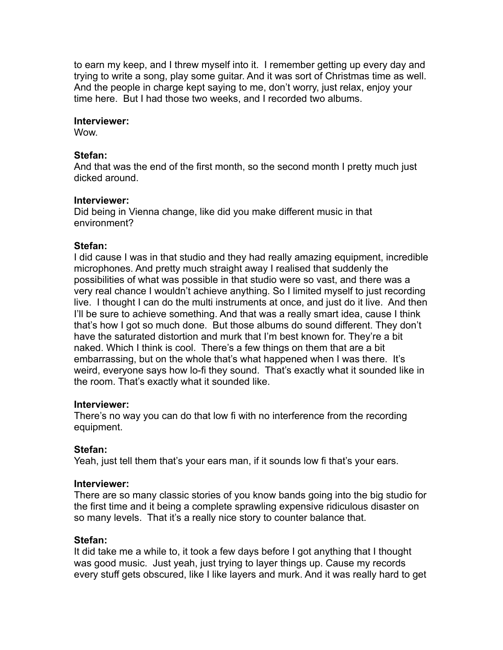to earn my keep, and I threw myself into it. I remember getting up every day and trying to write a song, play some guitar. And it was sort of Christmas time as well. And the people in charge kept saying to me, don't worry, just relax, enjoy your time here. But I had those two weeks, and I recorded two albums.

## **Interviewer:**

Wow.

# **Stefan:**

And that was the end of the first month, so the second month I pretty much just dicked around.

## **Interviewer:**

Did being in Vienna change, like did you make different music in that environment?

## **Stefan:**

I did cause I was in that studio and they had really amazing equipment, incredible microphones. And pretty much straight away I realised that suddenly the possibilities of what was possible in that studio were so vast, and there was a very real chance I wouldn't achieve anything. So I limited myself to just recording live. I thought I can do the multi instruments at once, and just do it live. And then I'll be sure to achieve something. And that was a really smart idea, cause I think that's how I got so much done. But those albums do sound different. They don't have the saturated distortion and murk that I'm best known for. They're a bit naked. Which I think is cool. There's a few things on them that are a bit embarrassing, but on the whole that's what happened when I was there. It's weird, everyone says how lo-fi they sound. That's exactly what it sounded like in the room. That's exactly what it sounded like.

### **Interviewer:**

There's no way you can do that low fi with no interference from the recording equipment.

# **Stefan:**

Yeah, just tell them that's your ears man, if it sounds low fi that's your ears.

### **Interviewer:**

There are so many classic stories of you know bands going into the big studio for the first time and it being a complete sprawling expensive ridiculous disaster on so many levels. That it's a really nice story to counter balance that.

# **Stefan:**

It did take me a while to, it took a few days before I got anything that I thought was good music. Just yeah, just trying to layer things up. Cause my records every stuff gets obscured, like I like layers and murk. And it was really hard to get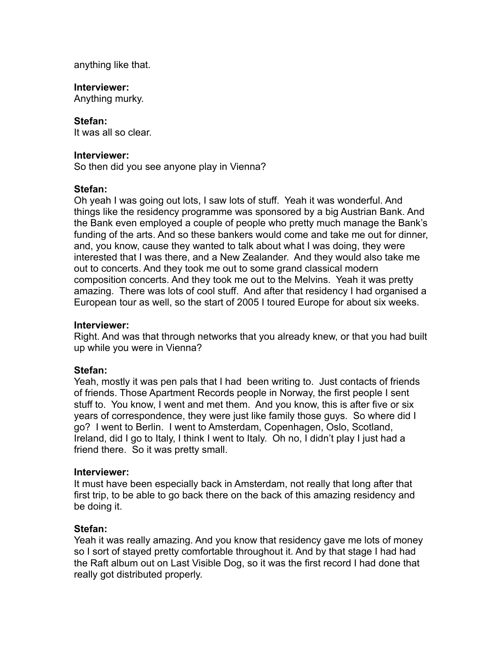anything like that.

### **Interviewer:**

Anything murky.

# **Stefan:**

It was all so clear.

### **Interviewer:**

So then did you see anyone play in Vienna?

# **Stefan:**

Oh yeah I was going out lots, I saw lots of stuff. Yeah it was wonderful. And things like the residency programme was sponsored by a big Austrian Bank. And the Bank even employed a couple of people who pretty much manage the Bank's funding of the arts. And so these bankers would come and take me out for dinner, and, you know, cause they wanted to talk about what I was doing, they were interested that I was there, and a New Zealander. And they would also take me out to concerts. And they took me out to some grand classical modern composition concerts. And they took me out to the Melvins. Yeah it was pretty amazing. There was lots of cool stuff. And after that residency I had organised a European tour as well, so the start of 2005 I toured Europe for about six weeks.

### **Interviewer:**

Right. And was that through networks that you already knew, or that you had built up while you were in Vienna?

# **Stefan:**

Yeah, mostly it was pen pals that I had been writing to. Just contacts of friends of friends. Those Apartment Records people in Norway, the first people I sent stuff to. You know, I went and met them. And you know, this is after five or six years of correspondence, they were just like family those guys. So where did I go? I went to Berlin. I went to Amsterdam, Copenhagen, Oslo, Scotland, Ireland, did I go to Italy, I think I went to Italy. Oh no, I didn't play I just had a friend there. So it was pretty small.

### **Interviewer:**

It must have been especially back in Amsterdam, not really that long after that first trip, to be able to go back there on the back of this amazing residency and be doing it.

# **Stefan:**

Yeah it was really amazing. And you know that residency gave me lots of money so I sort of stayed pretty comfortable throughout it. And by that stage I had had the Raft album out on Last Visible Dog, so it was the first record I had done that really got distributed properly.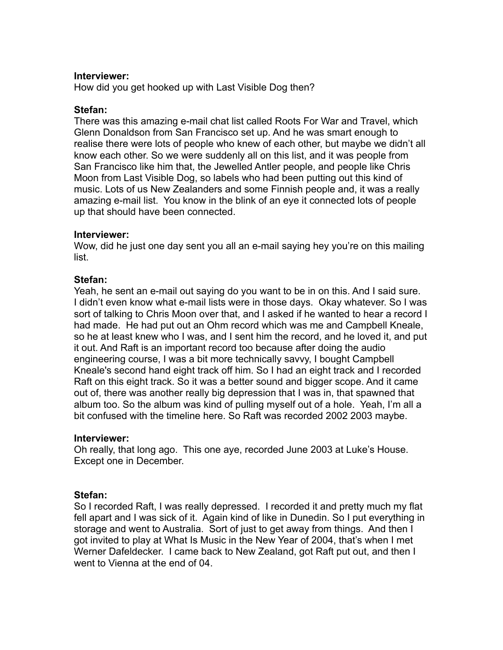### **Interviewer:**

How did you get hooked up with Last Visible Dog then?

## **Stefan:**

There was this amazing e-mail chat list called Roots For War and Travel, which Glenn Donaldson from San Francisco set up. And he was smart enough to realise there were lots of people who knew of each other, but maybe we didn't all know each other. So we were suddenly all on this list, and it was people from San Francisco like him that, the Jewelled Antler people, and people like Chris Moon from Last Visible Dog, so labels who had been putting out this kind of music. Lots of us New Zealanders and some Finnish people and, it was a really amazing e-mail list. You know in the blink of an eye it connected lots of people up that should have been connected.

### **Interviewer:**

Wow, did he just one day sent you all an e-mail saying hey you're on this mailing list.

## **Stefan:**

Yeah, he sent an e-mail out saying do you want to be in on this. And I said sure. I didn't even know what e-mail lists were in those days. Okay whatever. So I was sort of talking to Chris Moon over that, and I asked if he wanted to hear a record I had made. He had put out an Ohm record which was me and Campbell Kneale, so he at least knew who I was, and I sent him the record, and he loved it, and put it out. And Raft is an important record too because after doing the audio engineering course, I was a bit more technically savvy, I bought Campbell Kneale's second hand eight track off him. So I had an eight track and I recorded Raft on this eight track. So it was a better sound and bigger scope. And it came out of, there was another really big depression that I was in, that spawned that album too. So the album was kind of pulling myself out of a hole. Yeah, I'm all a bit confused with the timeline here. So Raft was recorded 2002 2003 maybe.

### **Interviewer:**

Oh really, that long ago. This one aye, recorded June 2003 at Luke's House. Except one in December.

### **Stefan:**

So I recorded Raft, I was really depressed. I recorded it and pretty much my flat fell apart and I was sick of it. Again kind of like in Dunedin. So I put everything in storage and went to Australia. Sort of just to get away from things. And then I got invited to play at What Is Music in the New Year of 2004, that's when I met Werner Dafeldecker. I came back to New Zealand, got Raft put out, and then I went to Vienna at the end of 04.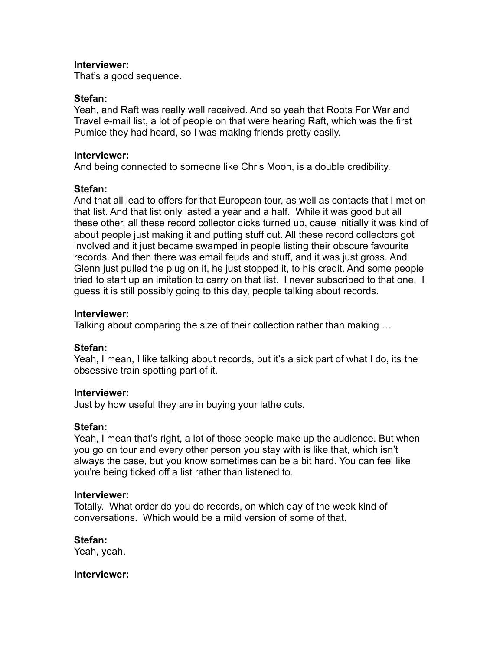### **Interviewer:**

That's a good sequence.

## **Stefan:**

Yeah, and Raft was really well received. And so yeah that Roots For War and Travel e-mail list, a lot of people on that were hearing Raft, which was the first Pumice they had heard, so I was making friends pretty easily.

### **Interviewer:**

And being connected to someone like Chris Moon, is a double credibility.

## **Stefan:**

And that all lead to offers for that European tour, as well as contacts that I met on that list. And that list only lasted a year and a half. While it was good but all these other, all these record collector dicks turned up, cause initially it was kind of about people just making it and putting stuff out. All these record collectors got involved and it just became swamped in people listing their obscure favourite records. And then there was email feuds and stuff, and it was just gross. And Glenn just pulled the plug on it, he just stopped it, to his credit. And some people tried to start up an imitation to carry on that list. I never subscribed to that one. I guess it is still possibly going to this day, people talking about records.

## **Interviewer:**

Talking about comparing the size of their collection rather than making …

### **Stefan:**

Yeah, I mean, I like talking about records, but it's a sick part of what I do, its the obsessive train spotting part of it.

### **Interviewer:**

Just by how useful they are in buying your lathe cuts.

# **Stefan:**

Yeah, I mean that's right, a lot of those people make up the audience. But when you go on tour and every other person you stay with is like that, which isn't always the case, but you know sometimes can be a bit hard. You can feel like you're being ticked off a list rather than listened to.

### **Interviewer:**

Totally. What order do you do records, on which day of the week kind of conversations. Which would be a mild version of some of that.

# **Stefan:**

Yeah, yeah.

### **Interviewer:**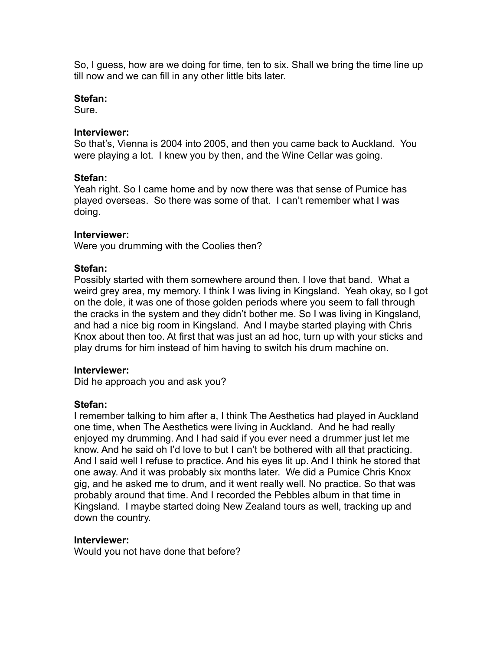So, I guess, how are we doing for time, ten to six. Shall we bring the time line up till now and we can fill in any other little bits later.

# **Stefan:**

Sure.

## **Interviewer:**

So that's, Vienna is 2004 into 2005, and then you came back to Auckland. You were playing a lot. I knew you by then, and the Wine Cellar was going.

## **Stefan:**

Yeah right. So I came home and by now there was that sense of Pumice has played overseas. So there was some of that. I can't remember what I was doing.

## **Interviewer:**

Were you drumming with the Coolies then?

## **Stefan:**

Possibly started with them somewhere around then. I love that band. What a weird grey area, my memory. I think I was living in Kingsland. Yeah okay, so I got on the dole, it was one of those golden periods where you seem to fall through the cracks in the system and they didn't bother me. So I was living in Kingsland, and had a nice big room in Kingsland. And I maybe started playing with Chris Knox about then too. At first that was just an ad hoc, turn up with your sticks and play drums for him instead of him having to switch his drum machine on.

### **Interviewer:**

Did he approach you and ask you?

# **Stefan:**

I remember talking to him after a, I think The Aesthetics had played in Auckland one time, when The Aesthetics were living in Auckland. And he had really enjoyed my drumming. And I had said if you ever need a drummer just let me know. And he said oh I'd love to but I can't be bothered with all that practicing. And I said well I refuse to practice. And his eyes lit up. And I think he stored that one away. And it was probably six months later. We did a Pumice Chris Knox gig, and he asked me to drum, and it went really well. No practice. So that was probably around that time. And I recorded the Pebbles album in that time in Kingsland. I maybe started doing New Zealand tours as well, tracking up and down the country.

# **Interviewer:**

Would you not have done that before?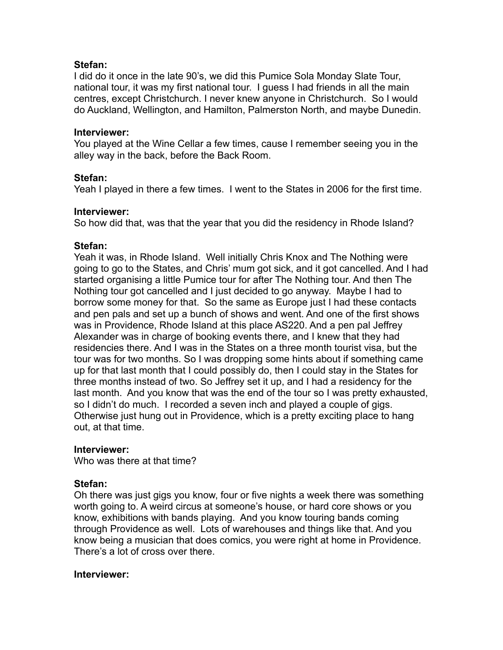I did do it once in the late 90's, we did this Pumice Sola Monday Slate Tour, national tour, it was my first national tour. I guess I had friends in all the main centres, except Christchurch. I never knew anyone in Christchurch. So I would do Auckland, Wellington, and Hamilton, Palmerston North, and maybe Dunedin.

### **Interviewer:**

You played at the Wine Cellar a few times, cause I remember seeing you in the alley way in the back, before the Back Room.

## **Stefan:**

Yeah I played in there a few times. I went to the States in 2006 for the first time.

### **Interviewer:**

So how did that, was that the year that you did the residency in Rhode Island?

## **Stefan:**

Yeah it was, in Rhode Island. Well initially Chris Knox and The Nothing were going to go to the States, and Chris' mum got sick, and it got cancelled. And I had started organising a little Pumice tour for after The Nothing tour. And then The Nothing tour got cancelled and I just decided to go anyway. Maybe I had to borrow some money for that. So the same as Europe just I had these contacts and pen pals and set up a bunch of shows and went. And one of the first shows was in Providence, Rhode Island at this place AS220. And a pen pal Jeffrey Alexander was in charge of booking events there, and I knew that they had residencies there. And I was in the States on a three month tourist visa, but the tour was for two months. So I was dropping some hints about if something came up for that last month that I could possibly do, then I could stay in the States for three months instead of two. So Jeffrey set it up, and I had a residency for the last month. And you know that was the end of the tour so I was pretty exhausted, so I didn't do much. I recorded a seven inch and played a couple of gigs. Otherwise just hung out in Providence, which is a pretty exciting place to hang out, at that time.

# **Interviewer:**

Who was there at that time?

# **Stefan:**

Oh there was just gigs you know, four or five nights a week there was something worth going to. A weird circus at someone's house, or hard core shows or you know, exhibitions with bands playing. And you know touring bands coming through Providence as well. Lots of warehouses and things like that. And you know being a musician that does comics, you were right at home in Providence. There's a lot of cross over there.

### **Interviewer:**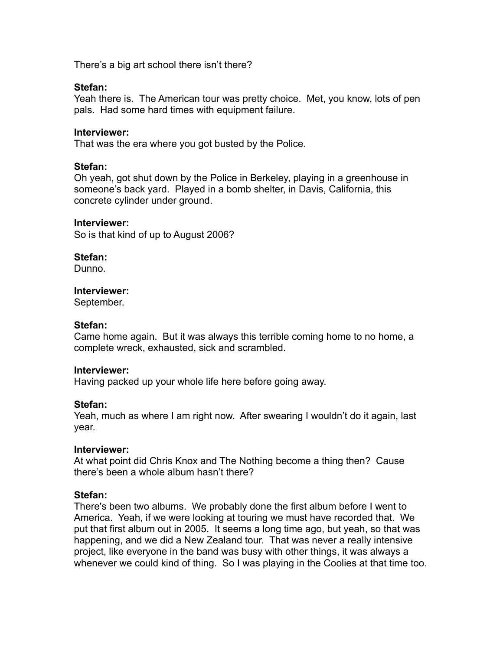There's a big art school there isn't there?

## **Stefan:**

Yeah there is. The American tour was pretty choice. Met, you know, lots of pen pals. Had some hard times with equipment failure.

### **Interviewer:**

That was the era where you got busted by the Police.

## **Stefan:**

Oh yeah, got shut down by the Police in Berkeley, playing in a greenhouse in someone's back yard. Played in a bomb shelter, in Davis, California, this concrete cylinder under ground.

### **Interviewer:**

So is that kind of up to August 2006?

# **Stefan:**

Dunno.

## **Interviewer:**

September.

## **Stefan:**

Came home again. But it was always this terrible coming home to no home, a complete wreck, exhausted, sick and scrambled.

### **Interviewer:**

Having packed up your whole life here before going away.

# **Stefan:**

Yeah, much as where I am right now. After swearing I wouldn't do it again, last year.

### **Interviewer:**

At what point did Chris Knox and The Nothing become a thing then? Cause there's been a whole album hasn't there?

# **Stefan:**

There's been two albums. We probably done the first album before I went to America. Yeah, if we were looking at touring we must have recorded that. We put that first album out in 2005. It seems a long time ago, but yeah, so that was happening, and we did a New Zealand tour. That was never a really intensive project, like everyone in the band was busy with other things, it was always a whenever we could kind of thing. So I was playing in the Coolies at that time too.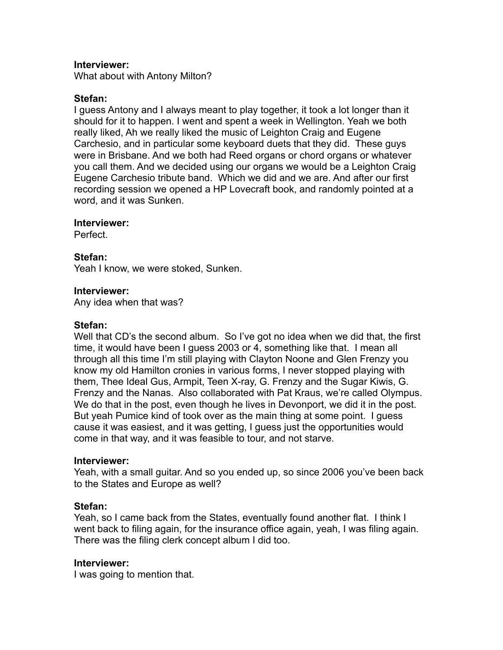### **Interviewer:**

What about with Antony Milton?

## **Stefan:**

I guess Antony and I always meant to play together, it took a lot longer than it should for it to happen. I went and spent a week in Wellington. Yeah we both really liked, Ah we really liked the music of Leighton Craig and Eugene Carchesio, and in particular some keyboard duets that they did. These guys were in Brisbane. And we both had Reed organs or chord organs or whatever you call them. And we decided using our organs we would be a Leighton Craig Eugene Carchesio tribute band. Which we did and we are. And after our first recording session we opened a HP Lovecraft book, and randomly pointed at a word, and it was Sunken.

### **Interviewer:**

Perfect.

## **Stefan:**

Yeah I know, we were stoked, Sunken.

#### **Interviewer:**

Any idea when that was?

### **Stefan:**

Well that CD's the second album. So I've got no idea when we did that, the first time, it would have been I guess 2003 or 4, something like that. I mean all through all this time I'm still playing with Clayton Noone and Glen Frenzy you know my old Hamilton cronies in various forms, I never stopped playing with them, Thee Ideal Gus, Armpit, Teen X-ray, G. Frenzy and the Sugar Kiwis, G. Frenzy and the Nanas. Also collaborated with Pat Kraus, we're called Olympus. We do that in the post, even though he lives in Devonport, we did it in the post. But yeah Pumice kind of took over as the main thing at some point. I guess cause it was easiest, and it was getting, I guess just the opportunities would come in that way, and it was feasible to tour, and not starve.

#### **Interviewer:**

Yeah, with a small guitar. And so you ended up, so since 2006 you've been back to the States and Europe as well?

### **Stefan:**

Yeah, so I came back from the States, eventually found another flat. I think I went back to filing again, for the insurance office again, yeah, I was filing again. There was the filing clerk concept album I did too.

### **Interviewer:**

I was going to mention that.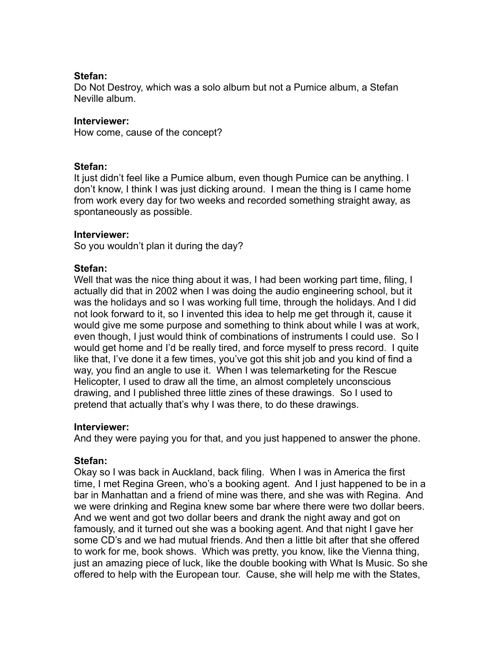Do Not Destroy, which was a solo album but not a Pumice album, a Stefan Neville album.

### **Interviewer:**

How come, cause of the concept?

## **Stefan:**

It just didn't feel like a Pumice album, even though Pumice can be anything. I don't know, I think I was just dicking around. I mean the thing is I came home from work every day for two weeks and recorded something straight away, as spontaneously as possible.

### **Interviewer:**

So you wouldn't plan it during the day?

# **Stefan:**

Well that was the nice thing about it was, I had been working part time, filing, I actually did that in 2002 when I was doing the audio engineering school, but it was the holidays and so I was working full time, through the holidays. And I did not look forward to it, so I invented this idea to help me get through it, cause it would give me some purpose and something to think about while I was at work, even though, I just would think of combinations of instruments I could use. So I would get home and I'd be really tired, and force myself to press record. I quite like that, I've done it a few times, you've got this shit job and you kind of find a way, you find an angle to use it. When I was telemarketing for the Rescue Helicopter, I used to draw all the time, an almost completely unconscious drawing, and I published three little zines of these drawings. So I used to pretend that actually that's why I was there, to do these drawings.

### **Interviewer:**

And they were paying you for that, and you just happened to answer the phone.

# **Stefan:**

Okay so I was back in Auckland, back filing. When I was in America the first time, I met Regina Green, who's a booking agent. And I just happened to be in a bar in Manhattan and a friend of mine was there, and she was with Regina. And we were drinking and Regina knew some bar where there were two dollar beers. And we went and got two dollar beers and drank the night away and got on famously, and it turned out she was a booking agent. And that night I gave her some CD's and we had mutual friends. And then a little bit after that she offered to work for me, book shows. Which was pretty, you know, like the Vienna thing, just an amazing piece of luck, like the double booking with What Is Music. So she offered to help with the European tour. Cause, she will help me with the States,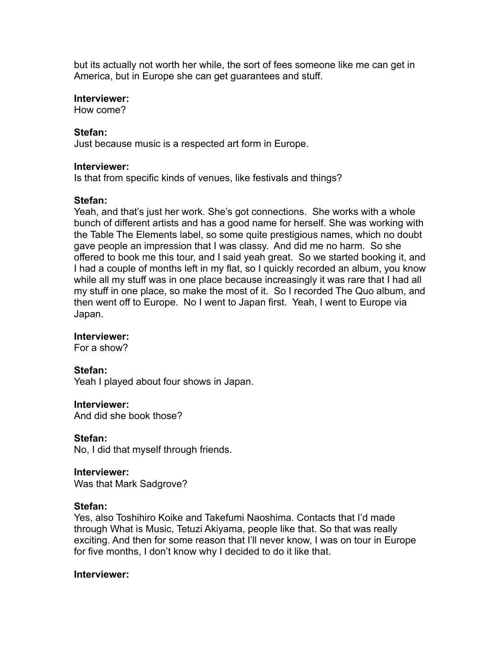but its actually not worth her while, the sort of fees someone like me can get in America, but in Europe she can get guarantees and stuff.

### **Interviewer:**

How come?

### **Stefan:**

Just because music is a respected art form in Europe.

### **Interviewer:**

Is that from specific kinds of venues, like festivals and things?

## **Stefan:**

Yeah, and that's just her work. She's got connections. She works with a whole bunch of different artists and has a good name for herself. She was working with the Table The Elements label, so some quite prestigious names, which no doubt gave people an impression that I was classy. And did me no harm. So she offered to book me this tour, and I said yeah great. So we started booking it, and I had a couple of months left in my flat, so I quickly recorded an album, you know while all my stuff was in one place because increasingly it was rare that I had all my stuff in one place, so make the most of it. So I recorded The Quo album, and then went off to Europe. No I went to Japan first. Yeah, I went to Europe via Japan.

# **Interviewer:**

For a show?

# **Stefan:**

Yeah I played about four shows in Japan.

### **Interviewer:**

And did she book those?

### **Stefan:**

No, I did that myself through friends.

### **Interviewer:**

Was that Mark Sadgrove?

### **Stefan:**

Yes, also Toshihiro Koike and Takefumi Naoshima. Contacts that I'd made through What is Music, Tetuzi Akiyama, people like that. So that was really exciting. And then for some reason that I'll never know, I was on tour in Europe for five months, I don't know why I decided to do it like that.

### **Interviewer:**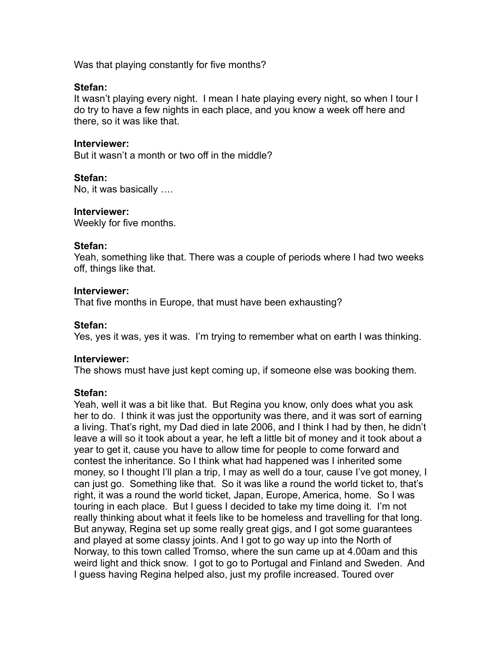Was that playing constantly for five months?

### **Stefan:**

It wasn't playing every night. I mean I hate playing every night, so when I tour I do try to have a few nights in each place, and you know a week off here and there, so it was like that.

## **Interviewer:**

But it wasn't a month or two off in the middle?

## **Stefan:**

No, it was basically ….

### **Interviewer:**

Weekly for five months.

### **Stefan:**

Yeah, something like that. There was a couple of periods where I had two weeks off, things like that.

### **Interviewer:**

That five months in Europe, that must have been exhausting?

### **Stefan:**

Yes, yes it was, yes it was. I'm trying to remember what on earth I was thinking.

### **Interviewer:**

The shows must have just kept coming up, if someone else was booking them.

# **Stefan:**

Yeah, well it was a bit like that. But Regina you know, only does what you ask her to do. I think it was just the opportunity was there, and it was sort of earning a living. That's right, my Dad died in late 2006, and I think I had by then, he didn't leave a will so it took about a year, he left a little bit of money and it took about a year to get it, cause you have to allow time for people to come forward and contest the inheritance. So I think what had happened was I inherited some money, so I thought I'll plan a trip, I may as well do a tour, cause I've got money, I can just go. Something like that. So it was like a round the world ticket to, that's right, it was a round the world ticket, Japan, Europe, America, home. So I was touring in each place. But I guess I decided to take my time doing it. I'm not really thinking about what it feels like to be homeless and travelling for that long. But anyway, Regina set up some really great gigs, and I got some guarantees and played at some classy joints. And I got to go way up into the North of Norway, to this town called Tromso, where the sun came up at 4.00am and this weird light and thick snow. I got to go to Portugal and Finland and Sweden. And I guess having Regina helped also, just my profile increased. Toured over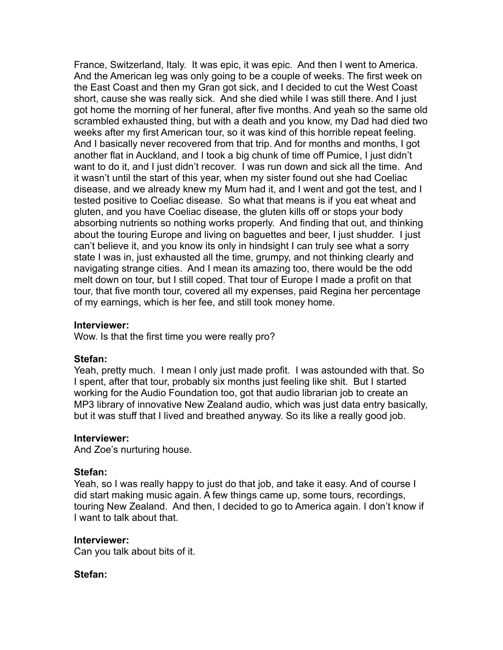France, Switzerland, Italy. It was epic, it was epic. And then I went to America. And the American leg was only going to be a couple of weeks. The first week on the East Coast and then my Gran got sick, and I decided to cut the West Coast short, cause she was really sick. And she died while I was still there. And I just got home the morning of her funeral, after five months. And yeah so the same old scrambled exhausted thing, but with a death and you know, my Dad had died two weeks after my first American tour, so it was kind of this horrible repeat feeling. And I basically never recovered from that trip. And for months and months, I got another flat in Auckland, and I took a big chunk of time off Pumice, I just didn't want to do it, and I just didn't recover. I was run down and sick all the time. And it wasn't until the start of this year, when my sister found out she had Coeliac disease, and we already knew my Mum had it, and I went and got the test, and I tested positive to Coeliac disease. So what that means is if you eat wheat and gluten, and you have Coeliac disease, the gluten kills off or stops your body absorbing nutrients so nothing works properly. And finding that out, and thinking about the touring Europe and living on baguettes and beer, I just shudder. I just can't believe it, and you know its only in hindsight I can truly see what a sorry state I was in, just exhausted all the time, grumpy, and not thinking clearly and navigating strange cities. And I mean its amazing too, there would be the odd melt down on tour, but I still coped. That tour of Europe I made a profit on that tour, that five month tour, covered all my expenses, paid Regina her percentage of my earnings, which is her fee, and still took money home.

### **Interviewer:**

Wow. Is that the first time you were really pro?

### **Stefan:**

Yeah, pretty much. I mean I only just made profit. I was astounded with that. So I spent, after that tour, probably six months just feeling like shit. But I started working for the Audio Foundation too, got that audio librarian job to create an MP3 library of innovative New Zealand audio, which was just data entry basically, but it was stuff that I lived and breathed anyway. So its like a really good job.

### **Interviewer:**

And Zoe's nurturing house.

### **Stefan:**

Yeah, so I was really happy to just do that job, and take it easy. And of course I did start making music again. A few things came up, some tours, recordings, touring New Zealand. And then, I decided to go to America again. I don't know if I want to talk about that.

### **Interviewer:**

Can you talk about bits of it.

### **Stefan:**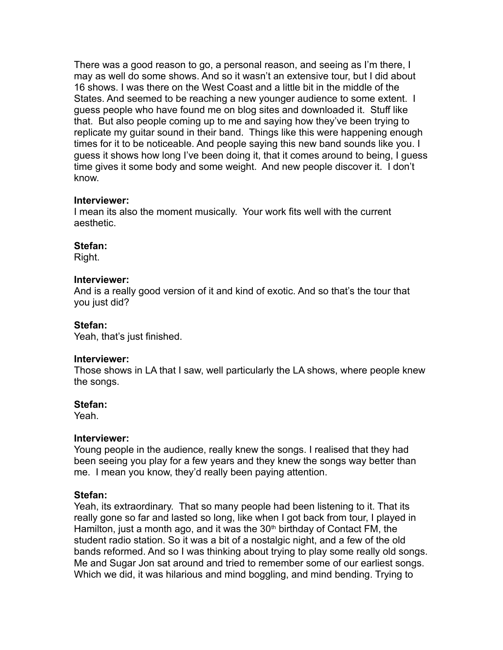There was a good reason to go, a personal reason, and seeing as I'm there, I may as well do some shows. And so it wasn't an extensive tour, but I did about 16 shows. I was there on the West Coast and a little bit in the middle of the States. And seemed to be reaching a new younger audience to some extent. I guess people who have found me on blog sites and downloaded it. Stuff like that. But also people coming up to me and saying how they've been trying to replicate my guitar sound in their band. Things like this were happening enough times for it to be noticeable. And people saying this new band sounds like you. I guess it shows how long I've been doing it, that it comes around to being, I guess time gives it some body and some weight. And new people discover it. I don't know.

## **Interviewer:**

I mean its also the moment musically. Your work fits well with the current aesthetic.

# **Stefan:**

Right.

### **Interviewer:**

And is a really good version of it and kind of exotic. And so that's the tour that you just did?

## **Stefan:**

Yeah, that's just finished.

### **Interviewer:**

Those shows in LA that I saw, well particularly the LA shows, where people knew the songs.

### **Stefan:**

Yeah.

### **Interviewer:**

Young people in the audience, really knew the songs. I realised that they had been seeing you play for a few years and they knew the songs way better than me. I mean you know, they'd really been paying attention.

### **Stefan:**

Yeah, its extraordinary. That so many people had been listening to it. That its really gone so far and lasted so long, like when I got back from tour, I played in Hamilton, just a month ago, and it was the  $30<sup>th</sup>$  birthday of Contact FM, the student radio station. So it was a bit of a nostalgic night, and a few of the old bands reformed. And so I was thinking about trying to play some really old songs. Me and Sugar Jon sat around and tried to remember some of our earliest songs. Which we did, it was hilarious and mind boggling, and mind bending. Trying to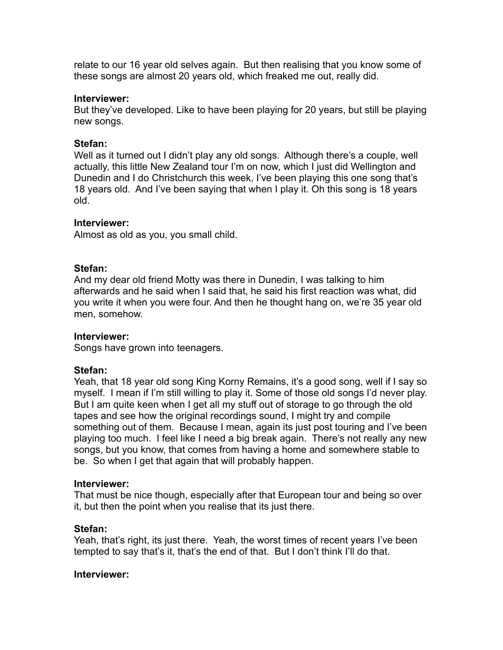relate to our 16 year old selves again. But then realising that you know some of these songs are almost 20 years old, which freaked me out, really did.

### **Interviewer:**

But they've developed. Like to have been playing for 20 years, but still be playing new songs.

### **Stefan:**

Well as it turned out I didn't play any old songs. Although there's a couple, well actually, this little New Zealand tour I'm on now, which I just did Wellington and Dunedin and I do Christchurch this week, I've been playing this one song that's 18 years old. And I've been saying that when I play it. Oh this song is 18 years old.

## **Interviewer:**

Almost as old as you, you small child.

## **Stefan:**

And my dear old friend Motty was there in Dunedin, I was talking to him afterwards and he said when I said that, he said his first reaction was what, did you write it when you were four. And then he thought hang on, we're 35 year old men, somehow.

### **Interviewer:**

Songs have grown into teenagers.

### **Stefan:**

Yeah, that 18 year old song King Korny Remains, it's a good song, well if I say so myself. I mean if I'm still willing to play it. Some of those old songs I'd never play. But I am quite keen when I get all my stuff out of storage to go through the old tapes and see how the original recordings sound, I might try and compile something out of them. Because I mean, again its just post touring and I've been playing too much. I feel like I need a big break again. There's not really any new songs, but you know, that comes from having a home and somewhere stable to be. So when I get that again that will probably happen.

### **Interviewer:**

That must be nice though, especially after that European tour and being so over it, but then the point when you realise that its just there.

### **Stefan:**

Yeah, that's right, its just there. Yeah, the worst times of recent years I've been tempted to say that's it, that's the end of that. But I don't think I'll do that.

### **Interviewer:**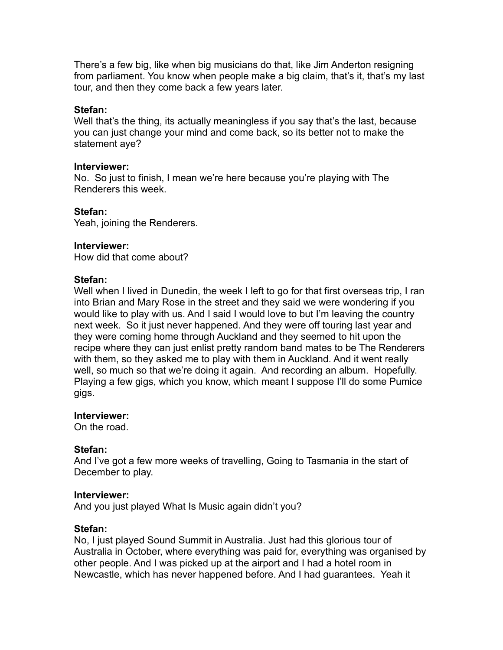There's a few big, like when big musicians do that, like Jim Anderton resigning from parliament. You know when people make a big claim, that's it, that's my last tour, and then they come back a few years later.

## **Stefan:**

Well that's the thing, its actually meaningless if you say that's the last, because you can just change your mind and come back, so its better not to make the statement aye?

### **Interviewer:**

No. So just to finish, I mean we're here because you're playing with The Renderers this week.

## **Stefan:**

Yeah, joining the Renderers.

### **Interviewer:**

How did that come about?

### **Stefan:**

Well when I lived in Dunedin, the week I left to go for that first overseas trip, I ran into Brian and Mary Rose in the street and they said we were wondering if you would like to play with us. And I said I would love to but I'm leaving the country next week. So it just never happened. And they were off touring last year and they were coming home through Auckland and they seemed to hit upon the recipe where they can just enlist pretty random band mates to be The Renderers with them, so they asked me to play with them in Auckland. And it went really well, so much so that we're doing it again. And recording an album. Hopefully. Playing a few gigs, which you know, which meant I suppose I'll do some Pumice gigs.

### **Interviewer:**

On the road.

### **Stefan:**

And I've got a few more weeks of travelling, Going to Tasmania in the start of December to play.

### **Interviewer:**

And you just played What Is Music again didn't you?

# **Stefan:**

No, I just played Sound Summit in Australia. Just had this glorious tour of Australia in October, where everything was paid for, everything was organised by other people. And I was picked up at the airport and I had a hotel room in Newcastle, which has never happened before. And I had guarantees. Yeah it